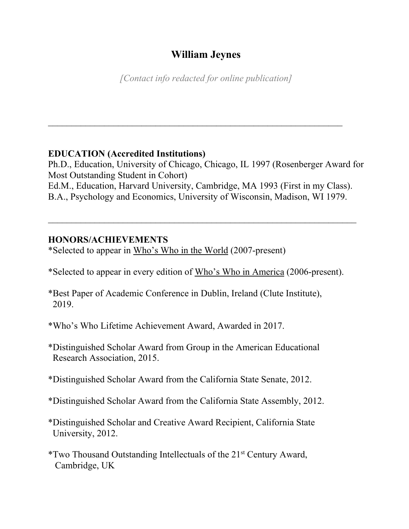# **William Jeynes**

*[Contact info redacted for online publication]*

 $\mathcal{L}_\text{max}$  , and the contract of the contract of the contract of the contract of the contract of the contract of the contract of the contract of the contract of the contract of the contract of the contract of the contr

## **EDUCATION (Accredited Institutions)**

Ph.D., Education, University of Chicago, Chicago, IL 1997 (Rosenberger Award for Most Outstanding Student in Cohort) Ed.M., Education, Harvard University, Cambridge, MA 1993 (First in my Class). B.A., Psychology and Economics, University of Wisconsin, Madison, WI 1979.

 $\_$  , and the contribution of the contribution of  $\mathcal{L}_1$  , and  $\mathcal{L}_2$  , and  $\mathcal{L}_3$  , and  $\mathcal{L}_4$  , and  $\mathcal{L}_5$ 

## **HONORS/ACHIEVEMENTS**

\*Selected to appear in Who's Who in the World (2007-present)

\*Selected to appear in every edition of Who's Who in America (2006-present).

- \*Best Paper of Academic Conference in Dublin, Ireland (Clute Institute), 2019.
- \*Who's Who Lifetime Achievement Award, Awarded in 2017.
- \*Distinguished Scholar Award from Group in the American Educational Research Association, 2015.
- \*Distinguished Scholar Award from the California State Senate, 2012.
- \*Distinguished Scholar Award from the California State Assembly, 2012.
- \*Distinguished Scholar and Creative Award Recipient, California State University, 2012.
- \*Two Thousand Outstanding Intellectuals of the 21st Century Award, Cambridge, UK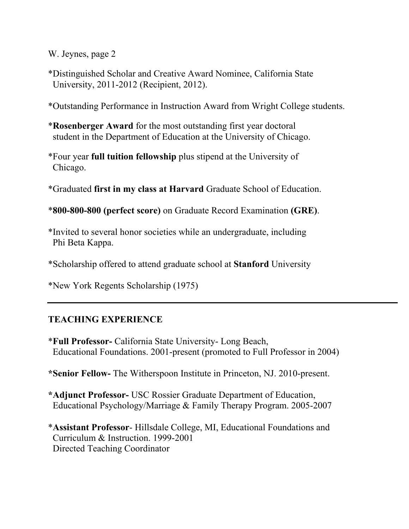\*Distinguished Scholar and Creative Award Nominee, California State University, 2011-2012 (Recipient, 2012).

\*Outstanding Performance in Instruction Award from Wright College students.

- \***Rosenberger Award** for the most outstanding first year doctoral student in the Department of Education at the University of Chicago.
- \*Four year **full tuition fellowship** plus stipend at the University of Chicago.
- \*Graduated **first in my class at Harvard** Graduate School of Education.

\***800-800-800 (perfect score)** on Graduate Record Examination **(GRE)**.

- \*Invited to several honor societies while an undergraduate, including Phi Beta Kappa.
- \*Scholarship offered to attend graduate school at **Stanford** University

\*New York Regents Scholarship (1975)

## **TEACHING EXPERIENCE**

- \***Full Professor-** California State University- Long Beach, Educational Foundations. 2001-present (promoted to Full Professor in 2004)
- **\*Senior Fellow-** The Witherspoon Institute in Princeton, NJ. 2010-present.
- **\*Adjunct Professor-** USC Rossier Graduate Department of Education, Educational Psychology/Marriage & Family Therapy Program. 2005-2007
- \***Assistant Professor** Hillsdale College, MI, Educational Foundations and Curriculum & Instruction. 1999-2001 Directed Teaching Coordinator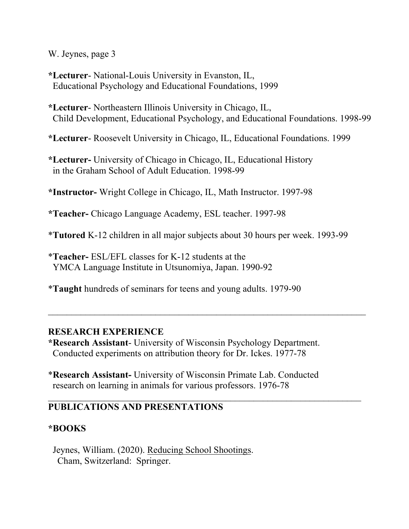**\*Lecturer**- National-Louis University in Evanston, IL, Educational Psychology and Educational Foundations, 1999

**\*Lecturer**- Northeastern Illinois University in Chicago, IL, Child Development, Educational Psychology, and Educational Foundations. 1998-99

**\*Lecturer**- Roosevelt University in Chicago, IL, Educational Foundations. 1999

**\*Lecturer-** University of Chicago in Chicago, IL, Educational History in the Graham School of Adult Education. 1998-99

**\*Instructor-** Wright College in Chicago, IL, Math Instructor. 1997-98

**\*Teacher-** Chicago Language Academy, ESL teacher. 1997-98

\***Tutored** K-12 children in all major subjects about 30 hours per week. 1993-99

 $\mathcal{L}_\text{max}$  , and the contract of the contract of the contract of the contract of the contract of the contract of the contract of the contract of the contract of the contract of the contract of the contract of the contr

 $\mathcal{L}_\text{max}$  , and the contract of the contract of the contract of the contract of the contract of the contract of the contract of the contract of the contract of the contract of the contract of the contract of the contr

\***Teacher-** ESL/EFL classes for K-12 students at the YMCA Language Institute in Utsunomiya, Japan. 1990-92

\***Taught** hundreds of seminars for teens and young adults. 1979-90

#### **RESEARCH EXPERIENCE**

**\*Research Assistant**- University of Wisconsin Psychology Department. Conducted experiments on attribution theory for Dr. Ickes. 1977-78

\***Research Assistant-** University of Wisconsin Primate Lab. Conducted research on learning in animals for various professors. 1976-78

## **PUBLICATIONS AND PRESENTATIONS**

## **\*BOOKS**

Jeynes, William. (2020). Reducing School Shootings. Cham, Switzerland: Springer.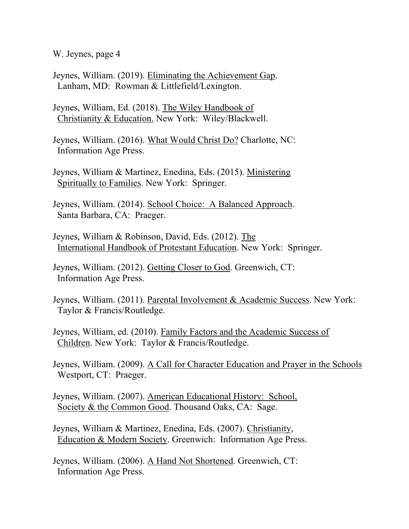Jeynes, William. (2019). Eliminating the Achievement Gap. Lanham, MD: Rowman & Littlefield/Lexington.

 Jeynes, William, Ed. (2018). The Wiley Handbook of Christianity & Education. New York: Wiley/Blackwell.

 Jeynes, William. (2016). What Would Christ Do? Charlotte, NC: Information Age Press.

 Jeynes, William & Martinez, Enedina, Eds. (2015). Ministering Spiritually to Families. New York: Springer.

Jeynes, William. (2014). School Choice: A Balanced Approach. Santa Barbara, CA: Praeger.

 Jeynes, William & Robinson, David, Eds. (2012). The International Handbook of Protestant Education. New York: Springer.

 Jeynes, William. (2012). Getting Closer to God. Greenwich, CT: Information Age Press.

 Jeynes, William. (2011). Parental Involvement & Academic Success. New York: Taylor & Francis/Routledge.

 Jeynes, William, ed. (2010). Family Factors and the Academic Success of Children. New York: Taylor & Francis/Routledge.

 Jeynes, William. (2009). A Call for Character Education and Prayer in the Schools Westport, CT: Praeger.

 Jeynes, William. (2007). American Educational History: School, Society & the Common Good. Thousand Oaks, CA: Sage.

 Jeynes, William & Martinez, Enedina, Eds. (2007). Christianity, Education & Modern Society. Greenwich: Information Age Press.

 Jeynes, William. (2006). A Hand Not Shortened. Greenwich, CT: Information Age Press.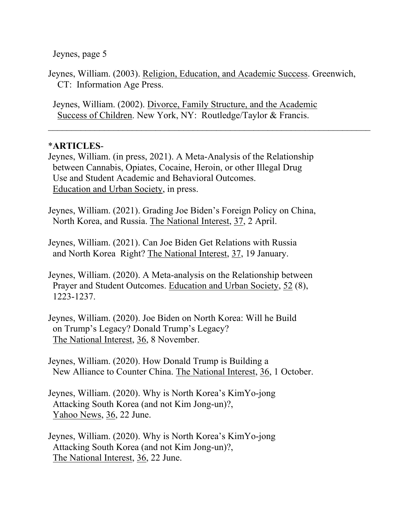Jeynes, page 5

Jeynes, William. (2003). Religion, Education, and Academic Success. Greenwich, CT: Information Age Press.

 $\mathcal{L}_\text{max}$  , and the contribution of the contribution of the contribution of the contribution of the contribution of the contribution of the contribution of the contribution of the contribution of the contribution of t

 Jeynes, William. (2002). Divorce, Family Structure, and the Academic Success of Children. New York, NY: Routledge/Taylor & Francis.

## \***ARTICLES**-

Jeynes, William. (in press, 2021). A Meta-Analysis of the Relationship between Cannabis, Opiates, Cocaine, Heroin, or other Illegal Drug Use and Student Academic and Behavioral Outcomes. Education and Urban Society, in press.

Jeynes, William. (2021). Grading Joe Biden's Foreign Policy on China, North Korea, and Russia. The National Interest, 37, 2 April.

Jeynes, William. (2021). Can Joe Biden Get Relations with Russia and North Korea Right? The National Interest, 37, 19 January.

Jeynes, William. (2020). A Meta-analysis on the Relationship between Prayer and Student Outcomes. Education and Urban Society, 52 (8), 1223-1237.

Jeynes, William. (2020). Joe Biden on North Korea: Will he Build on Trump's Legacy? Donald Trump's Legacy? The National Interest, 36, 8 November.

Jeynes, William. (2020). How Donald Trump is Building a New Alliance to Counter China. The National Interest, 36, 1 October.

Jeynes, William. (2020). Why is North Korea's KimYo-jong Attacking South Korea (and not Kim Jong-un)?, Yahoo News, 36, 22 June.

Jeynes, William. (2020). Why is North Korea's KimYo-jong Attacking South Korea (and not Kim Jong-un)?, The National Interest, 36, 22 June.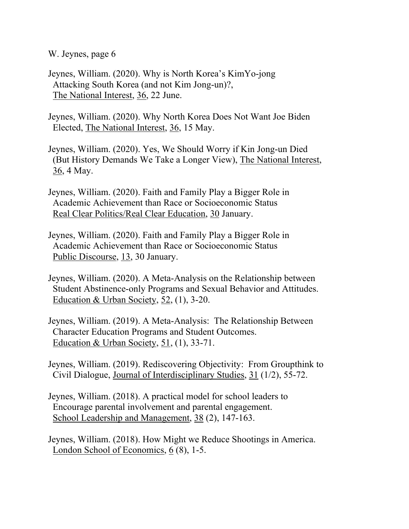Jeynes, William. (2020). Why is North Korea's KimYo-jong Attacking South Korea (and not Kim Jong-un)?, The National Interest, 36, 22 June.

Jeynes, William. (2020). Why North Korea Does Not Want Joe Biden Elected, The National Interest, 36, 15 May.

Jeynes, William. (2020). Yes, We Should Worry if Kin Jong-un Died (But History Demands We Take a Longer View), The National Interest, 36, 4 May.

Jeynes, William. (2020). Faith and Family Play a Bigger Role in Academic Achievement than Race or Socioeconomic Status Real Clear Politics/Real Clear Education, 30 January.

Jeynes, William. (2020). Faith and Family Play a Bigger Role in Academic Achievement than Race or Socioeconomic Status Public Discourse, 13, 30 January.

Jeynes, William. (2020). A Meta-Analysis on the Relationship between Student Abstinence-only Programs and Sexual Behavior and Attitudes. Education & Urban Society, 52, (1), 3-20.

Jeynes, William. (2019). A Meta-Analysis: The Relationship Between Character Education Programs and Student Outcomes. Education & Urban Society, 51, (1), 33-71.

Jeynes, William. (2019). Rediscovering Objectivity: From Groupthink to Civil Dialogue, Journal of Interdisciplinary Studies, 31 (1/2), 55-72.

Jeynes, William. (2018). A practical model for school leaders to Encourage parental involvement and parental engagement. School Leadership and Management, 38 (2), 147-163.

Jeynes, William. (2018). How Might we Reduce Shootings in America. London School of Economics, 6 (8), 1-5.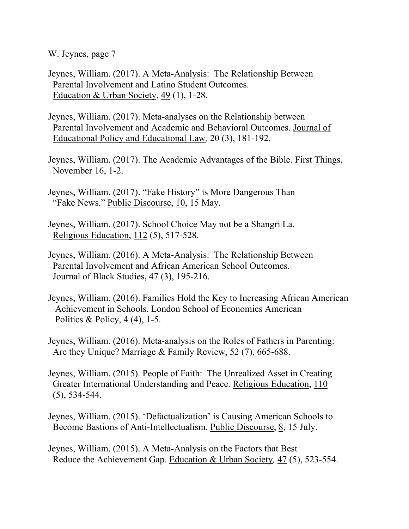- Jeynes, William. (2017). A Meta-Analysis: The Relationship Between Parental Involvement and Latino Student Outcomes. Education & Urban Society, 49 (1), 1-28.
- Jeynes, William. (2017). Meta-analyses on the Relationship between Parental Involvement and Academic and Behavioral Outcomes. Journal of Educational Policy and Educational Law*,* 20 (3), 181-192.
- Jeynes, William. (2017). The Academic Advantages of the Bible. First Things, November 16, 1-2.
- Jeynes, William. (2017). "Fake History" is More Dangerous Than "Fake News." Public Discourse, 10, 15 May.
- Jeynes, William. (2017). School Choice May not be a Shangri La. Religious Education, 112 (5), 517-528.
- Jeynes, William. (2016). A Meta-Analysis: The Relationship Between Parental Involvement and African American School Outcomes. Journal of Black Studies, 47 (3), 195-216.
- Jeynes, William. (2016). Families Hold the Key to Increasing African American Achievement in Schools. London School of Economics American Politics & Policy, 4 (4), 1-5.
- Jeynes, William. (2016). Meta-analysis on the Roles of Fathers in Parenting: Are they Unique? Marriage & Family Review, 52 (7), 665-688.
- Jeynes, William. (2015). People of Faith: The Unrealized Asset in Creating Greater International Understanding and Peace. Religious Education, 110 (5), 534-544.
- Jeynes, William. (2015). 'Defactualization' is Causing American Schools to Become Bastions of Anti-Intellectualism. Public Discourse, 8, 15 July.
- Jeynes, William. (2015). A Meta-Analysis on the Factors that Best Reduce the Achievement Gap. Education & Urban Society*,* 47 (5), 523-554.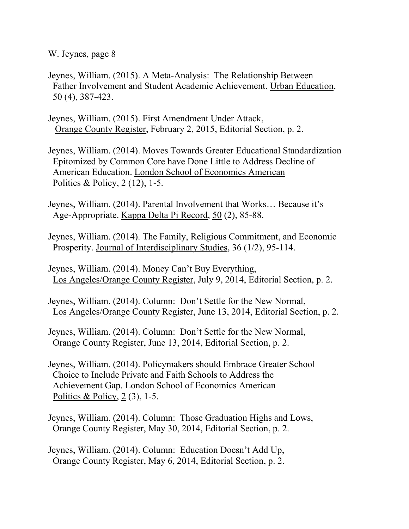- Jeynes, William. (2015). A Meta-Analysis: The Relationship Between Father Involvement and Student Academic Achievement. Urban Education, 50 (4), 387-423.
- Jeynes, William. (2015). First Amendment Under Attack, Orange County Register, February 2, 2015, Editorial Section, p. 2.
- Jeynes, William. (2014). Moves Towards Greater Educational Standardization Epitomized by Common Core have Done Little to Address Decline of American Education. London School of Economics American Politics & Policy, 2 (12), 1-5.
- Jeynes, William. (2014). Parental Involvement that Works… Because it's Age-Appropriate. Kappa Delta Pi Record, 50 (2), 85-88.
- Jeynes, William. (2014). The Family, Religious Commitment, and Economic Prosperity. Journal of Interdisciplinary Studies, 36 (1/2), 95-114.
- Jeynes, William. (2014). Money Can't Buy Everything, Los Angeles/Orange County Register, July 9, 2014, Editorial Section, p. 2.
- Jeynes, William. (2014). Column: Don't Settle for the New Normal, Los Angeles/Orange County Register, June 13, 2014, Editorial Section, p. 2.
- Jeynes, William. (2014). Column: Don't Settle for the New Normal, Orange County Register, June 13, 2014, Editorial Section, p. 2.
- Jeynes, William. (2014). Policymakers should Embrace Greater School Choice to Include Private and Faith Schools to Address the Achievement Gap. London School of Economics American Politics & Policy,  $2(3)$ , 1-5.
- Jeynes, William. (2014). Column: Those Graduation Highs and Lows, Orange County Register, May 30, 2014, Editorial Section, p. 2.
- Jeynes, William. (2014). Column: Education Doesn't Add Up, Orange County Register, May 6, 2014, Editorial Section, p. 2.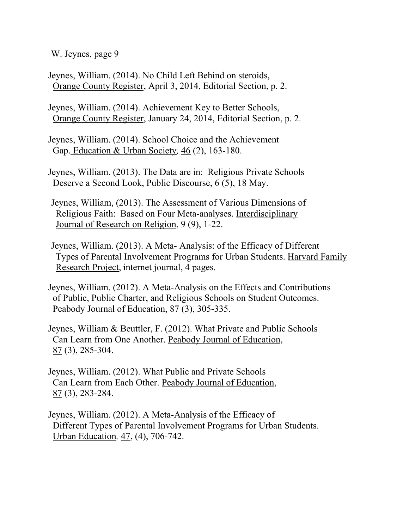- Jeynes, William. (2014). No Child Left Behind on steroids, Orange County Register, April 3, 2014, Editorial Section, p. 2.
- Jeynes, William. (2014). Achievement Key to Better Schools, Orange County Register, January 24, 2014, Editorial Section, p. 2.
- Jeynes, William. (2014). School Choice and the Achievement Gap. Education & Urban Society*,* 46 (2), 163-180.
- Jeynes, William. (2013). The Data are in: Religious Private Schools Deserve a Second Look, Public Discourse, 6 (5), 18 May.
- Jeynes, William, (2013). The Assessment of Various Dimensions of Religious Faith: Based on Four Meta-analyses. Interdisciplinary Journal of Research on Religion, 9 (9), 1-22.
- Jeynes, William. (2013). A Meta- Analysis: of the Efficacy of Different Types of Parental Involvement Programs for Urban Students. Harvard Family Research Project, internet journal, 4 pages.
- Jeynes, William. (2012). A Meta-Analysis on the Effects and Contributions of Public, Public Charter, and Religious Schools on Student Outcomes. Peabody Journal of Education, 87 (3), 305-335.
- Jeynes, William & Beuttler, F. (2012). What Private and Public Schools Can Learn from One Another. Peabody Journal of Education, 87 (3), 285-304.
- Jeynes, William. (2012). What Public and Private Schools Can Learn from Each Other. Peabody Journal of Education, 87 (3), 283-284.
- Jeynes, William. (2012). A Meta-Analysis of the Efficacy of Different Types of Parental Involvement Programs for Urban Students. Urban Education*,* 47, (4), 706-742.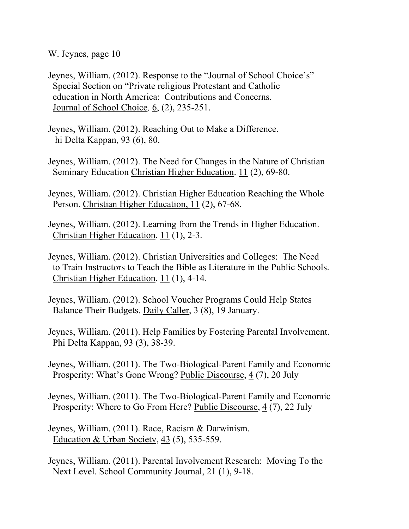- Jeynes, William. (2012). Response to the "Journal of School Choice's" Special Section on "Private religious Protestant and Catholic education in North America: Contributions and Concerns. Journal of School Choice*,* 6, (2), 235-251.
- Jeynes, William. (2012). Reaching Out to Make a Difference. hi Delta Kappan, 93 (6), 80.
- Jeynes, William. (2012). The Need for Changes in the Nature of Christian Seminary Education Christian Higher Education. 11 (2), 69-80.
- Jeynes, William. (2012). Christian Higher Education Reaching the Whole Person. Christian Higher Education, 11 (2), 67-68.
- Jeynes, William. (2012). Learning from the Trends in Higher Education. Christian Higher Education. 11 (1), 2-3.
- Jeynes, William. (2012). Christian Universities and Colleges: The Need to Train Instructors to Teach the Bible as Literature in the Public Schools. Christian Higher Education. 11 (1), 4-14.
- Jeynes, William. (2012). School Voucher Programs Could Help States Balance Their Budgets. Daily Caller, 3 (8), 19 January.
- Jeynes, William. (2011). Help Families by Fostering Parental Involvement. Phi Delta Kappan, 93 (3), 38-39.
- Jeynes, William. (2011). The Two-Biological-Parent Family and Economic Prosperity: What's Gone Wrong? Public Discourse, 4 (7), 20 July
- Jeynes, William. (2011). The Two-Biological-Parent Family and Economic Prosperity: Where to Go From Here? Public Discourse, 4 (7), 22 July
- Jeynes, William. (2011). Race, Racism & Darwinism. Education & Urban Society, 43 (5), 535-559.
- Jeynes, William. (2011). Parental Involvement Research: Moving To the Next Level. School Community Journal, 21 (1), 9-18.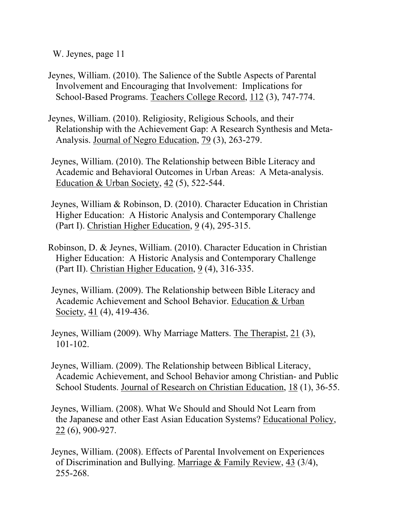- Jeynes, William. (2010). The Salience of the Subtle Aspects of Parental Involvement and Encouraging that Involvement: Implications for School-Based Programs. Teachers College Record, 112 (3), 747-774.
- Jeynes, William. (2010). Religiosity, Religious Schools, and their Relationship with the Achievement Gap: A Research Synthesis and Meta- Analysis. Journal of Negro Education, 79 (3), 263-279.
- Jeynes, William. (2010). The Relationship between Bible Literacy and Academic and Behavioral Outcomes in Urban Areas: A Meta-analysis. Education & Urban Society, 42 (5), 522-544.
- Jeynes, William & Robinson, D. (2010). Character Education in Christian Higher Education: A Historic Analysis and Contemporary Challenge (Part I). Christian Higher Education, 9 (4), 295-315.
- Robinson, D. & Jeynes, William. (2010). Character Education in Christian Higher Education: A Historic Analysis and Contemporary Challenge (Part II). Christian Higher Education, 9 (4), 316-335.
- Jeynes, William. (2009). The Relationship between Bible Literacy and Academic Achievement and School Behavior. Education & Urban Society, 41 (4), 419-436.
- Jeynes, William (2009). Why Marriage Matters. The Therapist, 21 (3), 101-102.
- Jeynes, William. (2009). The Relationship between Biblical Literacy, Academic Achievement, and School Behavior among Christian- and Public School Students. Journal of Research on Christian Education, 18 (1), 36-55.
- Jeynes, William. (2008). What We Should and Should Not Learn from the Japanese and other East Asian Education Systems? Educational Policy, 22 (6), 900-927.
- Jeynes, William. (2008). Effects of Parental Involvement on Experiences of Discrimination and Bullying. Marriage & Family Review, 43 (3/4), 255-268.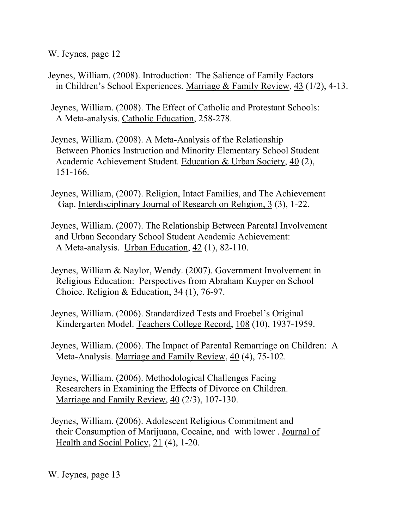- Jeynes, William. (2008). Introduction: The Salience of Family Factors in Children's School Experiences. Marriage & Family Review, 43 (1/2), 4-13.
- Jeynes, William. (2008). The Effect of Catholic and Protestant Schools: A Meta-analysis. Catholic Education, 258-278.
- Jeynes, William. (2008). A Meta-Analysis of the Relationship Between Phonics Instruction and Minority Elementary School Student Academic Achievement Student. Education & Urban Society, 40 (2), 151-166.
- Jeynes, William, (2007). Religion, Intact Families, and The Achievement Gap. Interdisciplinary Journal of Research on Religion, 3 (3), 1-22.
- Jeynes, William. (2007). The Relationship Between Parental Involvement and Urban Secondary School Student Academic Achievement: A Meta-analysis. Urban Education, 42 (1), 82-110.
- Jeynes, William & Naylor, Wendy. (2007). Government Involvement in Religious Education: Perspectives from Abraham Kuyper on School Choice. Religion & Education, 34 (1), 76-97.
- Jeynes, William. (2006). Standardized Tests and Froebel's Original Kindergarten Model. Teachers College Record, 108 (10), 1937-1959.
- Jeynes, William. (2006). The Impact of Parental Remarriage on Children: A Meta-Analysis. Marriage and Family Review, 40 (4), 75-102.
- Jeynes, William. (2006). Methodological Challenges Facing Researchers in Examining the Effects of Divorce on Children. Marriage and Family Review, 40 (2/3), 107-130.
- Jeynes, William. (2006). Adolescent Religious Commitment and their Consumption of Marijuana, Cocaine, and with lower . Journal of Health and Social Policy, 21 (4), 1-20.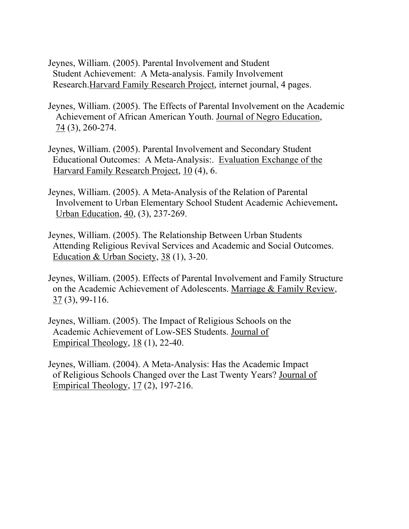- Jeynes, William. (2005). Parental Involvement and Student Student Achievement: A Meta-analysis. Family Involvement Research.Harvard Family Research Project, internet journal, 4 pages.
- Jeynes, William. (2005). The Effects of Parental Involvement on the Academic Achievement of African American Youth. Journal of Negro Education,  $74$  (3), 260-274.
- Jeynes, William. (2005). Parental Involvement and Secondary Student Educational Outcomes: A Meta-Analysis:. Evaluation Exchange of the Harvard Family Research Project, 10 (4), 6.
- Jeynes, William. (2005). A Meta-Analysis of the Relation of Parental Involvement to Urban Elementary School Student Academic Achievement**.**  Urban Education, 40, (3), 237-269.
- Jeynes, William. (2005). The Relationship Between Urban Students Attending Religious Revival Services and Academic and Social Outcomes. Education & Urban Society, 38 (1), 3-20.
- Jeynes, William. (2005). Effects of Parental Involvement and Family Structure on the Academic Achievement of Adolescents. Marriage & Family Review, 37 (3), 99-116.
- Jeynes, William. (2005). The Impact of Religious Schools on the Academic Achievement of Low-SES Students. Journal of Empirical Theology, 18 (1), 22-40.
- Jeynes, William. (2004). A Meta-Analysis: Has the Academic Impact of Religious Schools Changed over the Last Twenty Years? Journal of Empirical Theology, 17 (2), 197-216.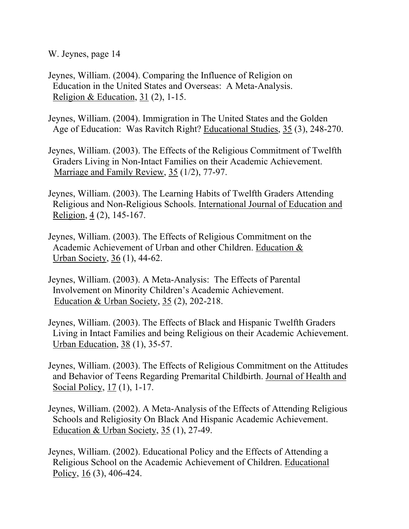- Jeynes, William. (2004). Comparing the Influence of Religion on Education in the United States and Overseas: A Meta-Analysis. Religion & Education,  $31$  (2), 1-15.
- Jeynes, William. (2004). Immigration in The United States and the Golden Age of Education: Was Ravitch Right? Educational Studies, 35 (3), 248-270.
- Jeynes, William. (2003). The Effects of the Religious Commitment of Twelfth Graders Living in Non-Intact Families on their Academic Achievement. Marriage and Family Review, 35 (1/2), 77-97.
- Jeynes, William. (2003). The Learning Habits of Twelfth Graders Attending Religious and Non-Religious Schools. International Journal of Education and Religion, 4 (2), 145-167.
- Jeynes, William. (2003). The Effects of Religious Commitment on the Academic Achievement of Urban and other Children. Education & Urban Society, 36 (1), 44-62.
- Jeynes, William. (2003). A Meta-Analysis: The Effects of Parental Involvement on Minority Children's Academic Achievement. Education & Urban Society, 35 (2), 202-218.
- Jeynes, William. (2003). The Effects of Black and Hispanic Twelfth Graders Living in Intact Families and being Religious on their Academic Achievement. Urban Education, 38 (1), 35-57.
- Jeynes, William. (2003). The Effects of Religious Commitment on the Attitudes and Behavior of Teens Regarding Premarital Childbirth. Journal of Health and Social Policy, 17 (1), 1-17.
- Jeynes, William. (2002). A Meta-Analysis of the Effects of Attending Religious Schools and Religiosity On Black And Hispanic Academic Achievement. Education & Urban Society, 35 (1), 27-49.
- Jeynes, William. (2002). Educational Policy and the Effects of Attending a Religious School on the Academic Achievement of Children. Educational Policy,  $16(3)$ , 406-424.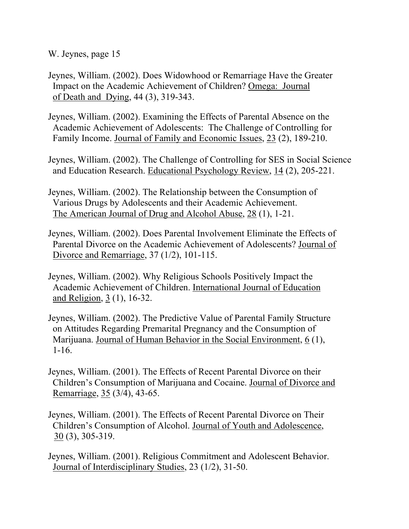- Jeynes, William. (2002). Does Widowhood or Remarriage Have the Greater Impact on the Academic Achievement of Children? Omega: Journal of Death and Dying, 44 (3), 319-343.
- Jeynes, William. (2002). Examining the Effects of Parental Absence on the Academic Achievement of Adolescents: The Challenge of Controlling for Family Income. Journal of Family and Economic Issues, 23 (2), 189-210.
- Jeynes, William. (2002). The Challenge of Controlling for SES in Social Science and Education Research. Educational Psychology Review, 14 (2), 205-221.
- Jeynes, William. (2002). The Relationship between the Consumption of Various Drugs by Adolescents and their Academic Achievement. The American Journal of Drug and Alcohol Abuse, 28 (1), 1-21.
- Jeynes, William. (2002). Does Parental Involvement Eliminate the Effects of Parental Divorce on the Academic Achievement of Adolescents? Journal of Divorce and Remarriage, 37 (1/2), 101-115.
- Jeynes, William. (2002). Why Religious Schools Positively Impact the Academic Achievement of Children. International Journal of Education and Religion, 3 (1), 16-32.
- Jeynes, William. (2002). The Predictive Value of Parental Family Structure on Attitudes Regarding Premarital Pregnancy and the Consumption of Marijuana. Journal of Human Behavior in the Social Environment, 6 (1), 1-16.
- Jeynes, William. (2001). The Effects of Recent Parental Divorce on their Children's Consumption of Marijuana and Cocaine. Journal of Divorce and Remarriage, 35 (3/4), 43-65.
- Jeynes, William. (2001). The Effects of Recent Parental Divorce on Their Children's Consumption of Alcohol. Journal of Youth and Adolescence, 30 (3), 305-319.
- Jeynes, William. (2001). Religious Commitment and Adolescent Behavior. Journal of Interdisciplinary Studies, 23 (1/2), 31-50.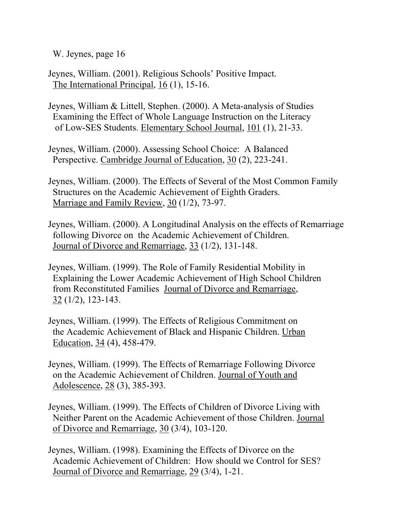- Jeynes, William. (2001). Religious Schools' Positive Impact. The International Principal, 16 (1), 15-16.
- Jeynes, William & Littell, Stephen. (2000). A Meta-analysis of Studies Examining the Effect of Whole Language Instruction on the Literacy of Low-SES Students. Elementary School Journal, 101 (1), 21-33.
- Jeynes, William. (2000). Assessing School Choice: A Balanced Perspective. Cambridge Journal of Education, 30 (2), 223-241.
- Jeynes, William. (2000). The Effects of Several of the Most Common Family Structures on the Academic Achievement of Eighth Graders. Marriage and Family Review, 30 (1/2), 73-97.
- Jeynes, William. (2000). A Longitudinal Analysis on the effects of Remarriage following Divorce on the Academic Achievement of Children. Journal of Divorce and Remarriage, 33 (1/2), 131-148.
- Jeynes, William. (1999). The Role of Family Residential Mobility in Explaining the Lower Academic Achievement of High School Children from Reconstituted Families Journal of Divorce and Remarriage, 32 (1/2), 123-143.
- Jeynes, William. (1999). The Effects of Religious Commitment on the Academic Achievement of Black and Hispanic Children. Urban Education, 34 (4), 458-479.
- Jeynes, William. (1999). The Effects of Remarriage Following Divorce on the Academic Achievement of Children. Journal of Youth and Adolescence, 28 (3), 385-393.
- Jeynes, William. (1999). The Effects of Children of Divorce Living with Neither Parent on the Academic Achievement of those Children. Journal of Divorce and Remarriage, 30 (3/4), 103-120.
- Jeynes, William. (1998). Examining the Effects of Divorce on the Academic Achievement of Children: How should we Control for SES? Journal of Divorce and Remarriage, 29 (3/4), 1-21.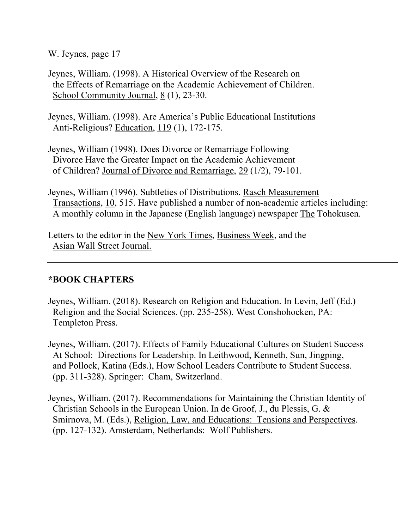Jeynes, William. (1998). A Historical Overview of the Research on the Effects of Remarriage on the Academic Achievement of Children. School Community Journal,  $8(1)$ , 23-30.

Jeynes, William. (1998). Are America's Public Educational Institutions Anti-Religious? Education, 119 (1), 172-175.

Jeynes, William (1998). Does Divorce or Remarriage Following Divorce Have the Greater Impact on the Academic Achievement of Children? Journal of Divorce and Remarriage, 29 (1/2), 79-101.

Jeynes, William (1996). Subtleties of Distributions. Rasch Measurement Transactions, 10, 515. Have published a number of non-academic articles including: A monthly column in the Japanese (English language) newspaper The Tohokusen.

Letters to the editor in the New York Times, Business Week, and the Asian Wall Street Journal.

## **\*BOOK CHAPTERS**

- Jeynes, William. (2018). Research on Religion and Education. In Levin, Jeff (Ed.) Religion and the Social Sciences. (pp. 235-258). West Conshohocken, PA: Templeton Press.
- Jeynes, William. (2017). Effects of Family Educational Cultures on Student Success At School: Directions for Leadership. In Leithwood, Kenneth, Sun, Jingping, and Pollock, Katina (Eds.), How School Leaders Contribute to Student Success. (pp. 311-328). Springer: Cham, Switzerland.
- Jeynes, William. (2017). Recommendations for Maintaining the Christian Identity of Christian Schools in the European Union. In de Groof, J., du Plessis, G. & Smirnova, M. (Eds.), Religion, Law, and Educations: Tensions and Perspectives. (pp. 127-132). Amsterdam, Netherlands: Wolf Publishers.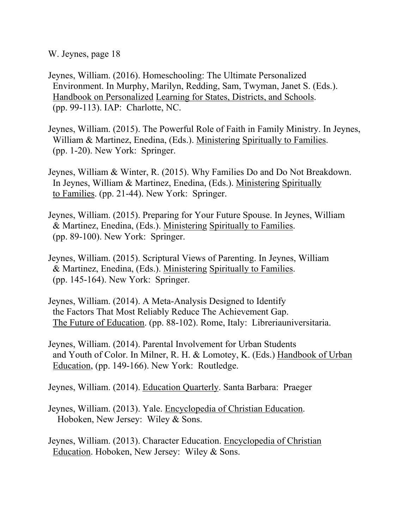- Jeynes, William. (2016). Homeschooling: The Ultimate Personalized Environment. In Murphy, Marilyn, Redding, Sam, Twyman, Janet S. (Eds.). Handbook on Personalized Learning for States, Districts, and Schools. (pp. 99-113). IAP: Charlotte, NC.
- Jeynes, William. (2015). The Powerful Role of Faith in Family Ministry. In Jeynes, William & Martinez, Enedina, (Eds.). Ministering Spiritually to Families. (pp. 1-20). New York: Springer.
- Jeynes, William & Winter, R. (2015). Why Families Do and Do Not Breakdown. In Jeynes, William & Martinez, Enedina, (Eds.). Ministering Spiritually to Families. (pp. 21-44). New York: Springer.
- Jeynes, William. (2015). Preparing for Your Future Spouse. In Jeynes, William & Martinez, Enedina, (Eds.). Ministering Spiritually to Families. (pp. 89-100). New York: Springer.
- Jeynes, William. (2015). Scriptural Views of Parenting. In Jeynes, William & Martinez, Enedina, (Eds.). Ministering Spiritually to Families. (pp. 145-164). New York: Springer.
- Jeynes, William. (2014). A Meta-Analysis Designed to Identify the Factors That Most Reliably Reduce The Achievement Gap. The Future of Education. (pp. 88-102). Rome, Italy: Libreriauniversitaria.
- Jeynes, William. (2014). Parental Involvement for Urban Students and Youth of Color. In Milner, R. H. & Lomotey, K. (Eds.) Handbook of Urban Education, (pp. 149-166). New York: Routledge.

Jeynes, William. (2014). Education Quarterly. Santa Barbara: Praeger

- Jeynes, William. (2013). Yale. Encyclopedia of Christian Education. Hoboken, New Jersey: Wiley & Sons.
- Jeynes, William. (2013). Character Education. Encyclopedia of Christian Education. Hoboken, New Jersey: Wiley & Sons.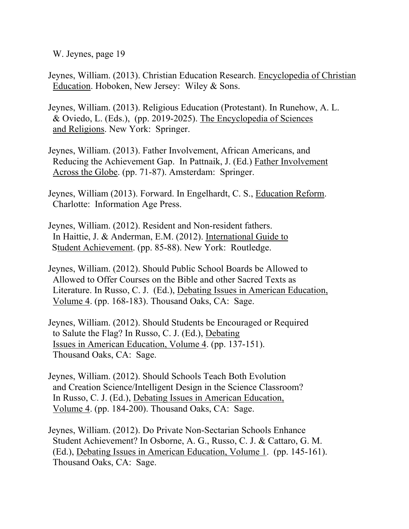- Jeynes, William. (2013). Christian Education Research. Encyclopedia of Christian Education. Hoboken, New Jersey: Wiley & Sons.
- Jeynes, William. (2013). Religious Education (Protestant). In Runehow, A. L. & Oviedo, L. (Eds.), (pp. 2019-2025). The Encyclopedia of Sciences and Religions. New York: Springer.
- Jeynes, William. (2013). Father Involvement, African Americans, and Reducing the Achievement Gap. In Pattnaik, J. (Ed.) Father Involvement Across the Globe. (pp. 71-87). Amsterdam: Springer.
- Jeynes, William (2013). Forward. In Engelhardt, C. S., Education Reform. Charlotte: Information Age Press.
- Jeynes, William. (2012). Resident and Non-resident fathers. In Haittie, J. & Anderman, E.M. (2012). International Guide to Student Achievement. (pp. 85-88). New York: Routledge.
- Jeynes, William. (2012). Should Public School Boards be Allowed to Allowed to Offer Courses on the Bible and other Sacred Texts as Literature. In Russo, C. J. (Ed.), Debating Issues in American Education, Volume 4. (pp. 168-183). Thousand Oaks, CA: Sage.
- Jeynes, William. (2012). Should Students be Encouraged or Required to Salute the Flag? In Russo, C. J. (Ed.), Debating Issues in American Education, Volume 4. (pp. 137-151). Thousand Oaks, CA: Sage.
- Jeynes, William. (2012). Should Schools Teach Both Evolution and Creation Science/Intelligent Design in the Science Classroom? In Russo, C. J. (Ed.), Debating Issues in American Education, Volume 4. (pp. 184-200). Thousand Oaks, CA: Sage.
- Jeynes, William. (2012). Do Private Non-Sectarian Schools Enhance Student Achievement? In Osborne, A. G., Russo, C. J. & Cattaro, G. M. (Ed.), Debating Issues in American Education, Volume 1. (pp. 145-161). Thousand Oaks, CA: Sage.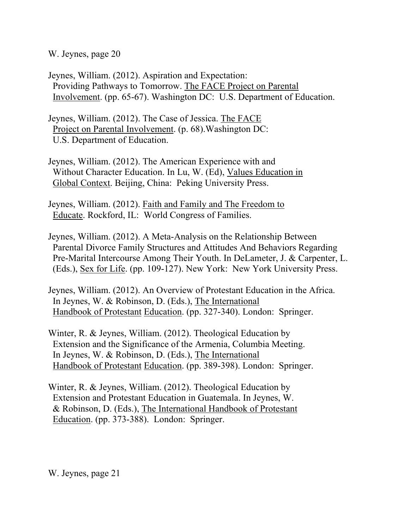Jeynes, William. (2012). Aspiration and Expectation: Providing Pathways to Tomorrow. The FACE Project on Parental Involvement. (pp. 65-67). Washington DC: U.S. Department of Education.

Jeynes, William. (2012). The Case of Jessica. The FACE Project on Parental Involvement. (p. 68).Washington DC: U.S. Department of Education.

Jeynes, William. (2012). The American Experience with and Without Character Education. In Lu, W. (Ed), Values Education in Global Context. Beijing, China: Peking University Press.

Jeynes, William. (2012). Faith and Family and The Freedom to Educate. Rockford, IL: World Congress of Families.

Jeynes, William. (2012). A Meta-Analysis on the Relationship Between Parental Divorce Family Structures and Attitudes And Behaviors Regarding Pre-Marital Intercourse Among Their Youth. In DeLameter, J. & Carpenter, L. (Eds.), Sex for Life. (pp. 109-127). New York: New York University Press.

Jeynes, William. (2012). An Overview of Protestant Education in the Africa. In Jeynes, W. & Robinson, D. (Eds.), The International Handbook of Protestant Education. (pp. 327-340). London: Springer.

Winter, R. & Jeynes, William. (2012). Theological Education by Extension and the Significance of the Armenia, Columbia Meeting. In Jeynes, W. & Robinson, D. (Eds.), The International Handbook of Protestant Education. (pp. 389-398). London: Springer.

Winter, R. & Jeynes, William. (2012). Theological Education by Extension and Protestant Education in Guatemala. In Jeynes, W. & Robinson, D. (Eds.), The International Handbook of Protestant Education. (pp. 373-388). London: Springer.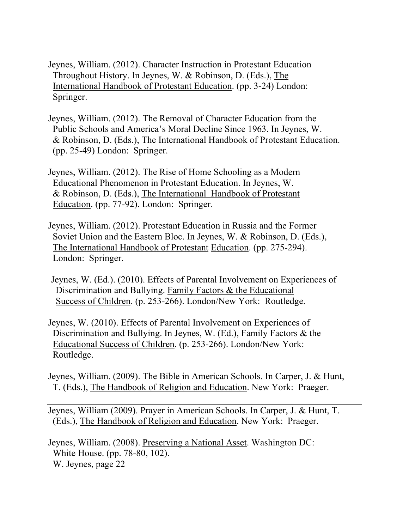- Jeynes, William. (2012). Character Instruction in Protestant Education Throughout History. In Jeynes, W. & Robinson, D. (Eds.), The International Handbook of Protestant Education. (pp. 3-24) London: Springer.
- Jeynes, William. (2012). The Removal of Character Education from the Public Schools and America's Moral Decline Since 1963. In Jeynes, W. & Robinson, D. (Eds.), The International Handbook of Protestant Education. (pp. 25-49) London: Springer.
- Jeynes, William. (2012). The Rise of Home Schooling as a Modern Educational Phenomenon in Protestant Education. In Jeynes, W. & Robinson, D. (Eds.), The International Handbook of Protestant Education. (pp. 77-92). London: Springer.
- Jeynes, William. (2012). Protestant Education in Russia and the Former Soviet Union and the Eastern Bloc. In Jeynes, W. & Robinson, D. (Eds.), The International Handbook of Protestant Education. (pp. 275-294). London: Springer.
- Jeynes, W. (Ed.). (2010). Effects of Parental Involvement on Experiences of Discrimination and Bullying. Family Factors & the Educational Success of Children. (p. 253-266). London/New York: Routledge.
- Jeynes, W. (2010). Effects of Parental Involvement on Experiences of Discrimination and Bullying. In Jeynes, W. (Ed.), Family Factors & the Educational Success of Children. (p. 253-266). London/New York: Routledge.
- Jeynes, William. (2009). The Bible in American Schools. In Carper, J. & Hunt, T. (Eds.), The Handbook of Religion and Education. New York: Praeger.
- Jeynes, William (2009). Prayer in American Schools. In Carper, J. & Hunt, T. (Eds.), The Handbook of Religion and Education. New York: Praeger.
- Jeynes, William. (2008). Preserving a National Asset. Washington DC: White House. (pp. 78-80, 102). W. Jeynes, page 22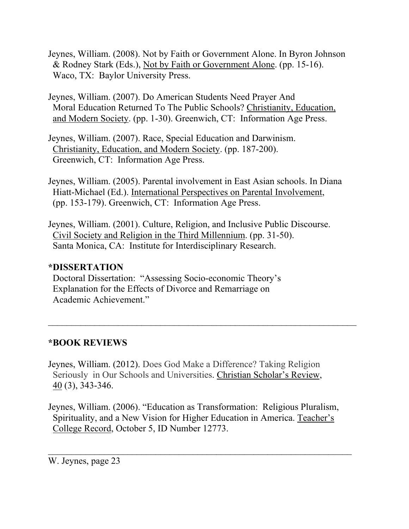- Jeynes, William. (2008). Not by Faith or Government Alone. In Byron Johnson & Rodney Stark (Eds.), Not by Faith or Government Alone. (pp. 15-16). Waco, TX: Baylor University Press.
- Jeynes, William. (2007). Do American Students Need Prayer And Moral Education Returned To The Public Schools? Christianity, Education, and Modern Society. (pp. 1-30). Greenwich, CT: Information Age Press.
- Jeynes, William. (2007). Race, Special Education and Darwinism. Christianity, Education, and Modern Society. (pp. 187-200). Greenwich, CT: Information Age Press.
- Jeynes, William. (2005). Parental involvement in East Asian schools. In Diana Hiatt-Michael (Ed.). International Perspectives on Parental Involvement, (pp. 153-179). Greenwich, CT: Information Age Press.
- Jeynes, William. (2001). Culture, Religion, and Inclusive Public Discourse. Civil Society and Religion in the Third Millennium. (pp. 31-50). Santa Monica, CA: Institute for Interdisciplinary Research.

## **\*DISSERTATION**

Doctoral Dissertation: "Assessing Socio-economic Theory's Explanation for the Effects of Divorce and Remarriage on Academic Achievement."

## **\*BOOK REVIEWS**

- Jeynes, William. (2012). Does God Make a Difference? Taking Religion Seriously in Our Schools and Universities. Christian Scholar's Review, 40 (3), 343-346.
- Jeynes, William. (2006). "Education as Transformation: Religious Pluralism, Spirituality, and a New Vision for Higher Education in America. Teacher's College Record, October 5, ID Number 12773.

 $\mathcal{L}_\text{G}$  , and the contribution of the contribution of the contribution of the contribution of the contribution of the contribution of the contribution of the contribution of the contribution of the contribution of t

 $\mathcal{L}_\text{max}$  , and the contract of the contract of the contract of the contract of the contract of the contract of the contract of the contract of the contract of the contract of the contract of the contract of the contr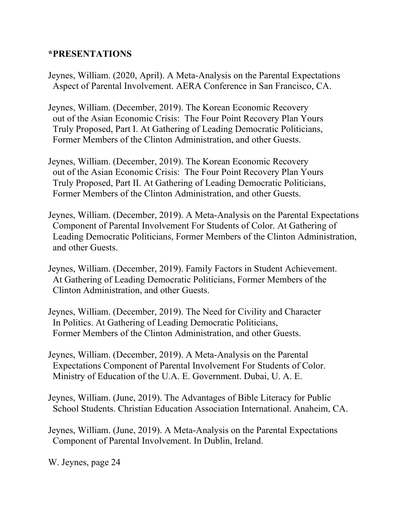## **\*PRESENTATIONS**

- Jeynes, William. (2020, April). A Meta-Analysis on the Parental Expectations Aspect of Parental Involvement. AERA Conference in San Francisco, CA.
- Jeynes, William. (December, 2019). The Korean Economic Recovery out of the Asian Economic Crisis: The Four Point Recovery Plan Yours Truly Proposed, Part I. At Gathering of Leading Democratic Politicians, Former Members of the Clinton Administration, and other Guests.
- Jeynes, William. (December, 2019). The Korean Economic Recovery out of the Asian Economic Crisis: The Four Point Recovery Plan Yours Truly Proposed, Part II. At Gathering of Leading Democratic Politicians, Former Members of the Clinton Administration, and other Guests.
- Jeynes, William. (December, 2019). A Meta-Analysis on the Parental Expectations Component of Parental Involvement For Students of Color. At Gathering of Leading Democratic Politicians, Former Members of the Clinton Administration, and other Guests.
- Jeynes, William. (December, 2019). Family Factors in Student Achievement. At Gathering of Leading Democratic Politicians, Former Members of the Clinton Administration, and other Guests.
- Jeynes, William. (December, 2019). The Need for Civility and Character In Politics. At Gathering of Leading Democratic Politicians, Former Members of the Clinton Administration, and other Guests.
- Jeynes, William. (December, 2019). A Meta-Analysis on the Parental Expectations Component of Parental Involvement For Students of Color. Ministry of Education of the U.A. E. Government. Dubai, U. A. E.
- Jeynes, William. (June, 2019). The Advantages of Bible Literacy for Public School Students. Christian Education Association International. Anaheim, CA.
- Jeynes, William. (June, 2019). A Meta-Analysis on the Parental Expectations Component of Parental Involvement. In Dublin, Ireland.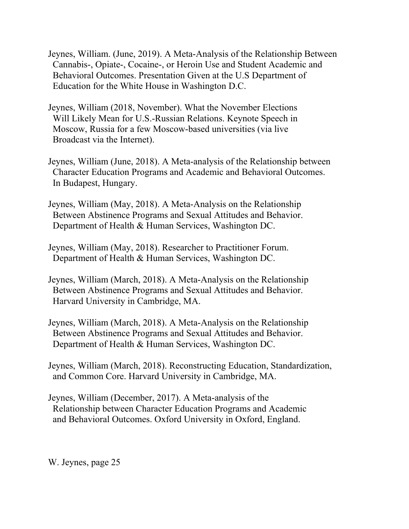- Jeynes, William. (June, 2019). A Meta-Analysis of the Relationship Between Cannabis-, Opiate-, Cocaine-, or Heroin Use and Student Academic and Behavioral Outcomes. Presentation Given at the U.S Department of Education for the White House in Washington D.C.
- Jeynes, William (2018, November). What the November Elections Will Likely Mean for U.S.-Russian Relations. Keynote Speech in Moscow, Russia for a few Moscow-based universities (via live Broadcast via the Internet).
- Jeynes, William (June, 2018). A Meta-analysis of the Relationship between Character Education Programs and Academic and Behavioral Outcomes. In Budapest, Hungary.
- Jeynes, William (May, 2018). A Meta-Analysis on the Relationship Between Abstinence Programs and Sexual Attitudes and Behavior. Department of Health & Human Services, Washington DC.
- Jeynes, William (May, 2018). Researcher to Practitioner Forum. Department of Health & Human Services, Washington DC.
- Jeynes, William (March, 2018). A Meta-Analysis on the Relationship Between Abstinence Programs and Sexual Attitudes and Behavior. Harvard University in Cambridge, MA.
- Jeynes, William (March, 2018). A Meta-Analysis on the Relationship Between Abstinence Programs and Sexual Attitudes and Behavior. Department of Health & Human Services, Washington DC.
- Jeynes, William (March, 2018). Reconstructing Education, Standardization, and Common Core. Harvard University in Cambridge, MA.
- Jeynes, William (December, 2017). A Meta-analysis of the Relationship between Character Education Programs and Academic and Behavioral Outcomes. Oxford University in Oxford, England.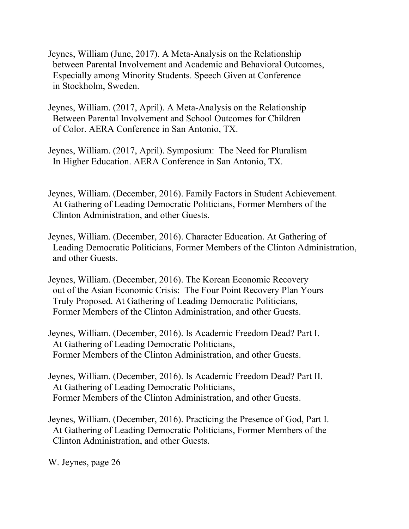- Jeynes, William (June, 2017). A Meta-Analysis on the Relationship between Parental Involvement and Academic and Behavioral Outcomes, Especially among Minority Students. Speech Given at Conference in Stockholm, Sweden.
- Jeynes, William. (2017, April). A Meta-Analysis on the Relationship Between Parental Involvement and School Outcomes for Children of Color. AERA Conference in San Antonio, TX.
- Jeynes, William. (2017, April). Symposium: The Need for Pluralism In Higher Education. AERA Conference in San Antonio, TX.
- Jeynes, William. (December, 2016). Family Factors in Student Achievement. At Gathering of Leading Democratic Politicians, Former Members of the Clinton Administration, and other Guests.
- Jeynes, William. (December, 2016). Character Education. At Gathering of Leading Democratic Politicians, Former Members of the Clinton Administration, and other Guests.
- Jeynes, William. (December, 2016). The Korean Economic Recovery out of the Asian Economic Crisis: The Four Point Recovery Plan Yours Truly Proposed. At Gathering of Leading Democratic Politicians, Former Members of the Clinton Administration, and other Guests.
- Jeynes, William. (December, 2016). Is Academic Freedom Dead? Part I. At Gathering of Leading Democratic Politicians, Former Members of the Clinton Administration, and other Guests.
- Jeynes, William. (December, 2016). Is Academic Freedom Dead? Part II. At Gathering of Leading Democratic Politicians, Former Members of the Clinton Administration, and other Guests.
- Jeynes, William. (December, 2016). Practicing the Presence of God, Part I. At Gathering of Leading Democratic Politicians, Former Members of the Clinton Administration, and other Guests.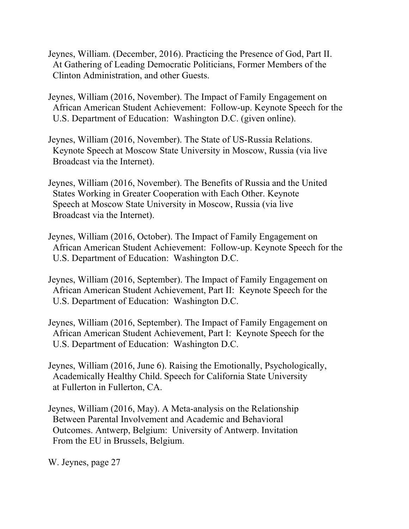- Jeynes, William. (December, 2016). Practicing the Presence of God, Part II. At Gathering of Leading Democratic Politicians, Former Members of the Clinton Administration, and other Guests.
- Jeynes, William (2016, November). The Impact of Family Engagement on African American Student Achievement: Follow-up. Keynote Speech for the U.S. Department of Education: Washington D.C. (given online).
- Jeynes, William (2016, November). The State of US-Russia Relations. Keynote Speech at Moscow State University in Moscow, Russia (via live Broadcast via the Internet).
- Jeynes, William (2016, November). The Benefits of Russia and the United States Working in Greater Cooperation with Each Other. Keynote Speech at Moscow State University in Moscow, Russia (via live Broadcast via the Internet).
- Jeynes, William (2016, October). The Impact of Family Engagement on African American Student Achievement: Follow-up. Keynote Speech for the U.S. Department of Education: Washington D.C.
- Jeynes, William (2016, September). The Impact of Family Engagement on African American Student Achievement, Part II: Keynote Speech for the U.S. Department of Education: Washington D.C.
- Jeynes, William (2016, September). The Impact of Family Engagement on African American Student Achievement, Part I: Keynote Speech for the U.S. Department of Education: Washington D.C.
- Jeynes, William (2016, June 6). Raising the Emotionally, Psychologically, Academically Healthy Child. Speech for California State University at Fullerton in Fullerton, CA.
- Jeynes, William (2016, May). A Meta-analysis on the Relationship Between Parental Involvement and Academic and Behavioral Outcomes. Antwerp, Belgium: University of Antwerp. Invitation From the EU in Brussels, Belgium.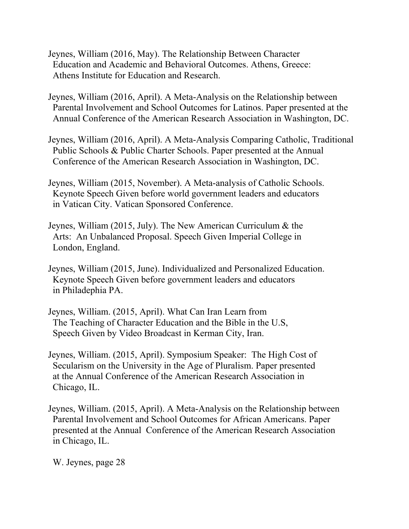- Jeynes, William (2016, May). The Relationship Between Character Education and Academic and Behavioral Outcomes. Athens, Greece: Athens Institute for Education and Research.
- Jeynes, William (2016, April). A Meta-Analysis on the Relationship between Parental Involvement and School Outcomes for Latinos. Paper presented at the Annual Conference of the American Research Association in Washington, DC.
- Jeynes, William (2016, April). A Meta-Analysis Comparing Catholic, Traditional Public Schools & Public Charter Schools. Paper presented at the Annual Conference of the American Research Association in Washington, DC.
- Jeynes, William (2015, November). A Meta-analysis of Catholic Schools. Keynote Speech Given before world government leaders and educators in Vatican City. Vatican Sponsored Conference.
- Jeynes, William (2015, July). The New American Curriculum & the Arts: An Unbalanced Proposal. Speech Given Imperial College in London, England.
- Jeynes, William (2015, June). Individualized and Personalized Education. Keynote Speech Given before government leaders and educators in Philadephia PA.
- Jeynes, William. (2015, April). What Can Iran Learn from The Teaching of Character Education and the Bible in the U.S, Speech Given by Video Broadcast in Kerman City, Iran.
- Jeynes, William. (2015, April). Symposium Speaker: The High Cost of Secularism on the University in the Age of Pluralism. Paper presented at the Annual Conference of the American Research Association in Chicago, IL.
- Jeynes, William. (2015, April). A Meta-Analysis on the Relationship between Parental Involvement and School Outcomes for African Americans. Paper presented at the Annual Conference of the American Research Association in Chicago, IL.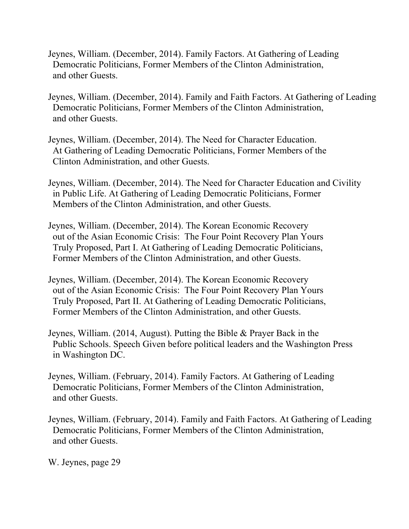- Jeynes, William. (December, 2014). Family Factors. At Gathering of Leading Democratic Politicians, Former Members of the Clinton Administration, and other Guests.
- Jeynes, William. (December, 2014). Family and Faith Factors. At Gathering of Leading Democratic Politicians, Former Members of the Clinton Administration, and other Guests.
- Jeynes, William. (December, 2014). The Need for Character Education. At Gathering of Leading Democratic Politicians, Former Members of the Clinton Administration, and other Guests.
- Jeynes, William. (December, 2014). The Need for Character Education and Civility in Public Life. At Gathering of Leading Democratic Politicians, Former Members of the Clinton Administration, and other Guests.
- Jeynes, William. (December, 2014). The Korean Economic Recovery out of the Asian Economic Crisis: The Four Point Recovery Plan Yours Truly Proposed, Part I. At Gathering of Leading Democratic Politicians, Former Members of the Clinton Administration, and other Guests.
- Jeynes, William. (December, 2014). The Korean Economic Recovery out of the Asian Economic Crisis: The Four Point Recovery Plan Yours Truly Proposed, Part II. At Gathering of Leading Democratic Politicians, Former Members of the Clinton Administration, and other Guests.
- Jeynes, William. (2014, August). Putting the Bible & Prayer Back in the Public Schools. Speech Given before political leaders and the Washington Press in Washington DC.
- Jeynes, William. (February, 2014). Family Factors. At Gathering of Leading Democratic Politicians, Former Members of the Clinton Administration, and other Guests.
- Jeynes, William. (February, 2014). Family and Faith Factors. At Gathering of Leading Democratic Politicians, Former Members of the Clinton Administration, and other Guests.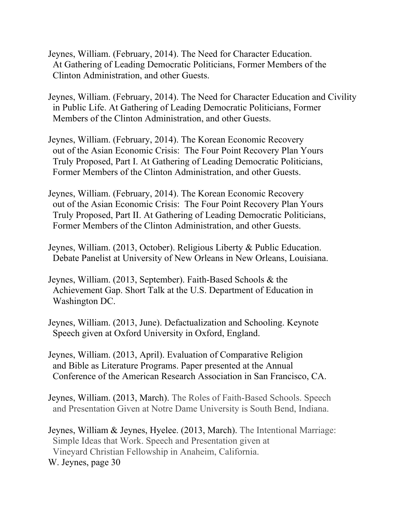- Jeynes, William. (February, 2014). The Need for Character Education. At Gathering of Leading Democratic Politicians, Former Members of the Clinton Administration, and other Guests.
- Jeynes, William. (February, 2014). The Need for Character Education and Civility in Public Life. At Gathering of Leading Democratic Politicians, Former Members of the Clinton Administration, and other Guests.
- Jeynes, William. (February, 2014). The Korean Economic Recovery out of the Asian Economic Crisis: The Four Point Recovery Plan Yours Truly Proposed, Part I. At Gathering of Leading Democratic Politicians, Former Members of the Clinton Administration, and other Guests.
- Jeynes, William. (February, 2014). The Korean Economic Recovery out of the Asian Economic Crisis: The Four Point Recovery Plan Yours Truly Proposed, Part II. At Gathering of Leading Democratic Politicians, Former Members of the Clinton Administration, and other Guests.
- Jeynes, William. (2013, October). Religious Liberty & Public Education. Debate Panelist at University of New Orleans in New Orleans, Louisiana.
- Jeynes, William. (2013, September). Faith-Based Schools & the Achievement Gap. Short Talk at the U.S. Department of Education in Washington DC.
- Jeynes, William. (2013, June). Defactualization and Schooling. Keynote Speech given at Oxford University in Oxford, England.
- Jeynes, William. (2013, April). Evaluation of Comparative Religion and Bible as Literature Programs. Paper presented at the Annual Conference of the American Research Association in San Francisco, CA.
- Jeynes, William. (2013, March). The Roles of Faith-Based Schools. Speech and Presentation Given at Notre Dame University is South Bend, Indiana.
- Jeynes, William & Jeynes, Hyelee. (2013, March). The Intentional Marriage: Simple Ideas that Work. Speech and Presentation given at Vineyard Christian Fellowship in Anaheim, California. W. Jeynes, page 30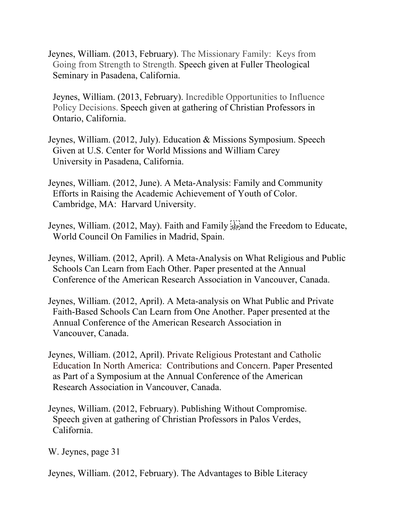Jeynes, William. (2013, February). The Missionary Family: Keys from Going from Strength to Strength. Speech given at Fuller Theological Seminary in Pasadena, California.

 Jeynes, William. (2013, February). Incredible Opportunities to Influence Policy Decisions. Speech given at gathering of Christian Professors in Ontario, California.

- Jeynes, William. (2012, July). Education & Missions Symposium. Speech Given at U.S. Center for World Missions and William Carey University in Pasadena, California.
- Jeynes, William. (2012, June). A Meta-Analysis: Family and Community Efforts in Raising the Academic Achievement of Youth of Color. Cambridge, MA: Harvard University.
- Jeynes, William. (2012, May). Faith and Family  $\frac{1}{15}$  and the Freedom to Educate, World Council On Families in Madrid, Spain.
- Jeynes, William. (2012, April). A Meta-Analysis on What Religious and Public Schools Can Learn from Each Other. Paper presented at the Annual Conference of the American Research Association in Vancouver, Canada.
- Jeynes, William. (2012, April). A Meta-analysis on What Public and Private Faith-Based Schools Can Learn from One Another. Paper presented at the Annual Conference of the American Research Association in Vancouver, Canada.
- Jeynes, William. (2012, April). Private Religious Protestant and Catholic Education In North America: Contributions and Concern. Paper Presented as Part of a Symposium at the Annual Conference of the American Research Association in Vancouver, Canada.
- Jeynes, William. (2012, February). Publishing Without Compromise. Speech given at gathering of Christian Professors in Palos Verdes, California.

W. Jeynes, page 31

Jeynes, William. (2012, February). The Advantages to Bible Literacy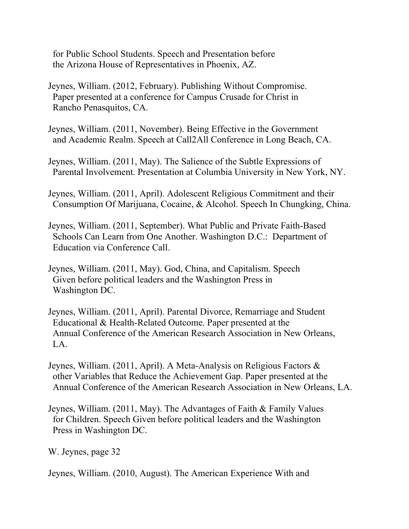for Public School Students. Speech and Presentation before the Arizona House of Representatives in Phoenix, AZ.

- Jeynes, William. (2012, February). Publishing Without Compromise. Paper presented at a conference for Campus Crusade for Christ in Rancho Penasquitos, CA.
- Jeynes, William. (2011, November). Being Effective in the Government and Academic Realm. Speech at Call2All Conference in Long Beach, CA.
- Jeynes, William. (2011, May). The Salience of the Subtle Expressions of Parental Involvement. Presentation at Columbia University in New York, NY.
- Jeynes, William. (2011, April). Adolescent Religious Commitment and their Consumption Of Marijuana, Cocaine, & Alcohol. Speech In Chungking, China.
- Jeynes, William. (2011, September). What Public and Private Faith-Based Schools Can Learn from One Another. Washington D.C.: Department of Education via Conference Call.
- Jeynes, William. (2011, May). God, China, and Capitalism. Speech Given before political leaders and the Washington Press in Washington DC.
- Jeynes, William. (2011, April). Parental Divorce, Remarriage and Student Educational & Health-Related Outcome. Paper presented at the Annual Conference of the American Research Association in New Orleans, LA.
- Jeynes, William. (2011, April). A Meta-Analysis on Religious Factors & other Variables that Reduce the Achievement Gap. Paper presented at the Annual Conference of the American Research Association in New Orleans, LA.
- Jeynes, William. (2011, May). The Advantages of Faith & Family Values for Children. Speech Given before political leaders and the Washington Press in Washington DC.

W. Jeynes, page 32

Jeynes, William. (2010, August). The American Experience With and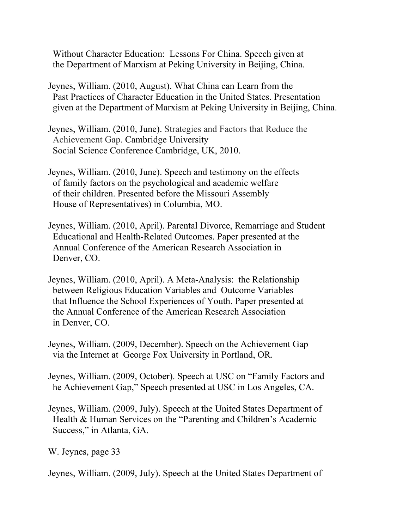Without Character Education: Lessons For China. Speech given at the Department of Marxism at Peking University in Beijing, China.

Jeynes, William. (2010, August). What China can Learn from the Past Practices of Character Education in the United States. Presentation given at the Department of Marxism at Peking University in Beijing, China.

Jeynes, William. (2010, June). Strategies and Factors that Reduce the Achievement Gap. Cambridge University Social Science Conference Cambridge, UK, 2010.

Jeynes, William. (2010, June). Speech and testimony on the effects of family factors on the psychological and academic welfare of their children. Presented before the Missouri Assembly House of Representatives) in Columbia, MO.

Jeynes, William. (2010, April). Parental Divorce, Remarriage and Student Educational and Health-Related Outcomes. Paper presented at the Annual Conference of the American Research Association in Denver, CO.

Jeynes, William. (2010, April). A Meta-Analysis: the Relationship between Religious Education Variables and Outcome Variables that Influence the School Experiences of Youth. Paper presented at the Annual Conference of the American Research Association in Denver, CO.

Jeynes, William. (2009, December). Speech on the Achievement Gap via the Internet at George Fox University in Portland, OR.

Jeynes, William. (2009, October). Speech at USC on "Family Factors and he Achievement Gap," Speech presented at USC in Los Angeles, CA.

Jeynes, William. (2009, July). Speech at the United States Department of Health & Human Services on the "Parenting and Children's Academic Success," in Atlanta, GA.

W. Jeynes, page 33

Jeynes, William. (2009, July). Speech at the United States Department of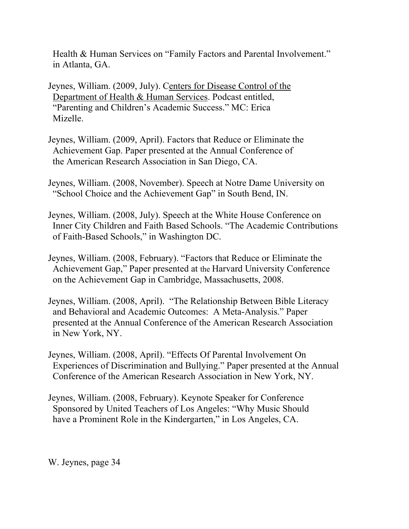Health & Human Services on "Family Factors and Parental Involvement." in Atlanta, GA.

Jeynes, William. (2009, July). Centers for Disease Control of the Department of Health & Human Services. Podcast entitled, "Parenting and Children's Academic Success." MC: Erica Mizelle.

- Jeynes, William. (2009, April). Factors that Reduce or Eliminate the Achievement Gap. Paper presented at the Annual Conference of the American Research Association in San Diego, CA.
- Jeynes, William. (2008, November). Speech at Notre Dame University on "School Choice and the Achievement Gap" in South Bend, IN.
- Jeynes, William. (2008, July). Speech at the White House Conference on Inner City Children and Faith Based Schools. "The Academic Contributions of Faith-Based Schools," in Washington DC.
- Jeynes, William. (2008, February). "Factors that Reduce or Eliminate the Achievement Gap," Paper presented at the Harvard University Conference on the Achievement Gap in Cambridge, Massachusetts, 2008.
- Jeynes, William. (2008, April). "The Relationship Between Bible Literacy and Behavioral and Academic Outcomes: A Meta-Analysis." Paper presented at the Annual Conference of the American Research Association in New York, NY.
- Jeynes, William. (2008, April). "Effects Of Parental Involvement On Experiences of Discrimination and Bullying." Paper presented at the Annual Conference of the American Research Association in New York, NY.
- Jeynes, William. (2008, February). Keynote Speaker for Conference Sponsored by United Teachers of Los Angeles: "Why Music Should have a Prominent Role in the Kindergarten," in Los Angeles, CA.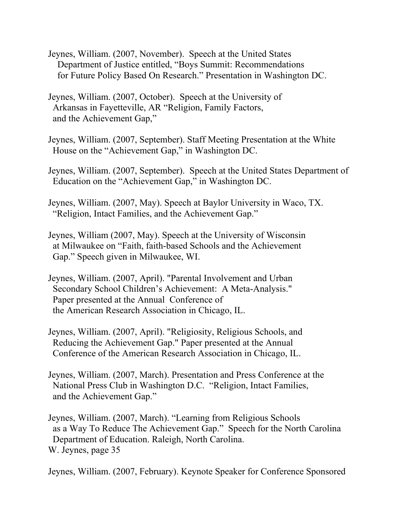- Jeynes, William. (2007, November). Speech at the United States Department of Justice entitled, "Boys Summit: Recommendations for Future Policy Based On Research." Presentation in Washington DC.
- Jeynes, William. (2007, October). Speech at the University of Arkansas in Fayetteville, AR "Religion, Family Factors, and the Achievement Gap,"
- Jeynes, William. (2007, September). Staff Meeting Presentation at the White House on the "Achievement Gap," in Washington DC.
- Jeynes, William. (2007, September). Speech at the United States Department of Education on the "Achievement Gap," in Washington DC.
- Jeynes, William. (2007, May). Speech at Baylor University in Waco, TX. "Religion, Intact Families, and the Achievement Gap."
- Jeynes, William (2007, May). Speech at the University of Wisconsin at Milwaukee on "Faith, faith-based Schools and the Achievement Gap." Speech given in Milwaukee, WI.
- Jeynes, William. (2007, April). "Parental Involvement and Urban Secondary School Children's Achievement: A Meta-Analysis." Paper presented at the Annual Conference of the American Research Association in Chicago, IL.
- Jeynes, William. (2007, April). "Religiosity, Religious Schools, and Reducing the Achievement Gap." Paper presented at the Annual Conference of the American Research Association in Chicago, IL.
- Jeynes, William. (2007, March). Presentation and Press Conference at the National Press Club in Washington D.C. "Religion, Intact Families, and the Achievement Gap."
- Jeynes, William. (2007, March). "Learning from Religious Schools as a Way To Reduce The Achievement Gap." Speech for the North Carolina Department of Education. Raleigh, North Carolina. W. Jeynes, page 35
- Jeynes, William. (2007, February). Keynote Speaker for Conference Sponsored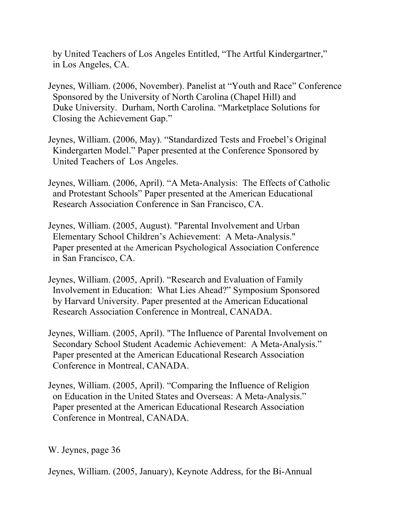by United Teachers of Los Angeles Entitled, "The Artful Kindergartner," in Los Angeles, CA.

- Jeynes, William. (2006, November). Panelist at "Youth and Race" Conference Sponsored by the University of North Carolina (Chapel Hill) and Duke University. Durham, North Carolina. "Marketplace Solutions for Closing the Achievement Gap."
- Jeynes, William. (2006, May). "Standardized Tests and Froebel's Original Kindergarten Model." Paper presented at the Conference Sponsored by United Teachers of Los Angeles.
- Jeynes, William. (2006, April). "A Meta-Analysis: The Effects of Catholic and Protestant Schools" Paper presented at the American Educational Research Association Conference in San Francisco, CA.
- Jeynes, William. (2005, August). "Parental Involvement and Urban Elementary School Children's Achievement: A Meta-Analysis." Paper presented at the American Psychological Association Conference in San Francisco, CA.
- Jeynes, William. (2005, April). "Research and Evaluation of Family Involvement in Education: What Lies Ahead?" Symposium Sponsored by Harvard University. Paper presented at the American Educational Research Association Conference in Montreal, CANADA.
- Jeynes, William. (2005, April). "The Influence of Parental Involvement on Secondary School Student Academic Achievement: A Meta-Analysis." Paper presented at the American Educational Research Association Conference in Montreal, CANADA.
- Jeynes, William. (2005, April). "Comparing the Influence of Religion on Education in the United States and Overseas: A Meta-Analysis." Paper presented at the American Educational Research Association Conference in Montreal, CANADA.

W. Jeynes, page 36

Jeynes, William. (2005, January), Keynote Address, for the Bi-Annual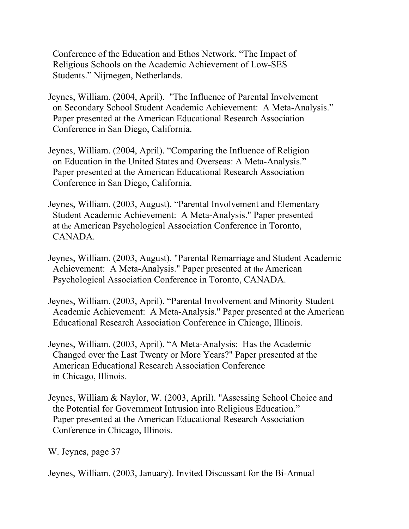Conference of the Education and Ethos Network. "The Impact of Religious Schools on the Academic Achievement of Low-SES Students." Nijmegen, Netherlands.

- Jeynes, William. (2004, April). "The Influence of Parental Involvement on Secondary School Student Academic Achievement: A Meta-Analysis." Paper presented at the American Educational Research Association Conference in San Diego, California.
- Jeynes, William. (2004, April). "Comparing the Influence of Religion on Education in the United States and Overseas: A Meta-Analysis." Paper presented at the American Educational Research Association Conference in San Diego, California.
- Jeynes, William. (2003, August). "Parental Involvement and Elementary Student Academic Achievement: A Meta-Analysis." Paper presented at the American Psychological Association Conference in Toronto, CANADA.
- Jeynes, William. (2003, August). "Parental Remarriage and Student Academic Achievement: A Meta-Analysis." Paper presented at the American Psychological Association Conference in Toronto, CANADA.
- Jeynes, William. (2003, April). "Parental Involvement and Minority Student Academic Achievement: A Meta-Analysis." Paper presented at the American Educational Research Association Conference in Chicago, Illinois.
- Jeynes, William. (2003, April). "A Meta-Analysis: Has the Academic Changed over the Last Twenty or More Years?" Paper presented at the American Educational Research Association Conference in Chicago, Illinois.
- Jeynes, William & Naylor, W. (2003, April). "Assessing School Choice and the Potential for Government Intrusion into Religious Education." Paper presented at the American Educational Research Association Conference in Chicago, Illinois.

W. Jeynes, page 37

Jeynes, William. (2003, January). Invited Discussant for the Bi-Annual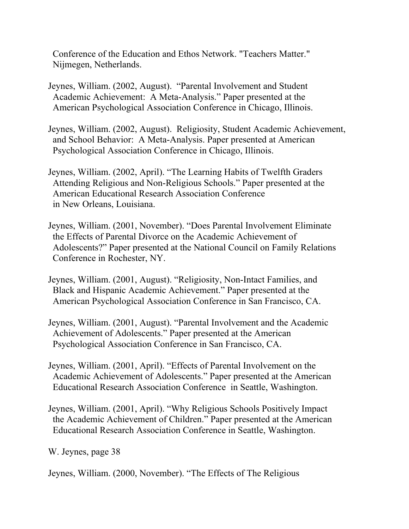Conference of the Education and Ethos Network. "Teachers Matter." Nijmegen, Netherlands.

Jeynes, William. (2002, August). "Parental Involvement and Student Academic Achievement: A Meta-Analysis." Paper presented at the American Psychological Association Conference in Chicago, Illinois.

Jeynes, William. (2002, August). Religiosity, Student Academic Achievement, and School Behavior: A Meta-Analysis. Paper presented at American Psychological Association Conference in Chicago, Illinois.

Jeynes, William. (2002, April). "The Learning Habits of Twelfth Graders Attending Religious and Non-Religious Schools." Paper presented at the American Educational Research Association Conference in New Orleans, Louisiana.

Jeynes, William. (2001, November). "Does Parental Involvement Eliminate the Effects of Parental Divorce on the Academic Achievement of Adolescents?" Paper presented at the National Council on Family Relations Conference in Rochester, NY.

Jeynes, William. (2001, August). "Religiosity, Non-Intact Families, and Black and Hispanic Academic Achievement." Paper presented at the American Psychological Association Conference in San Francisco, CA.

Jeynes, William. (2001, August). "Parental Involvement and the Academic Achievement of Adolescents." Paper presented at the American Psychological Association Conference in San Francisco, CA.

Jeynes, William. (2001, April). "Effects of Parental Involvement on the Academic Achievement of Adolescents." Paper presented at the American Educational Research Association Conference in Seattle, Washington.

Jeynes, William. (2001, April). "Why Religious Schools Positively Impact the Academic Achievement of Children." Paper presented at the American Educational Research Association Conference in Seattle, Washington.

W. Jeynes, page 38

Jeynes, William. (2000, November). "The Effects of The Religious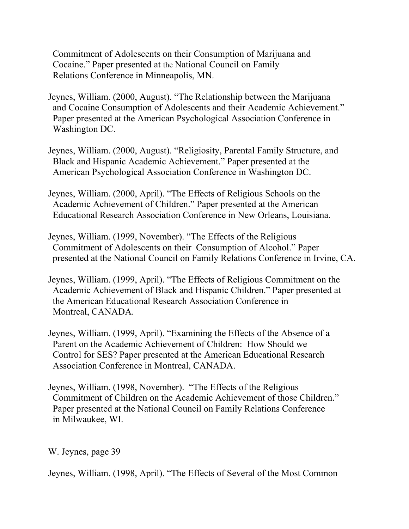Commitment of Adolescents on their Consumption of Marijuana and Cocaine." Paper presented at the National Council on Family Relations Conference in Minneapolis, MN.

- Jeynes, William. (2000, August). "The Relationship between the Marijuana and Cocaine Consumption of Adolescents and their Academic Achievement." Paper presented at the American Psychological Association Conference in Washington DC.
- Jeynes, William. (2000, August). "Religiosity, Parental Family Structure, and Black and Hispanic Academic Achievement." Paper presented at the American Psychological Association Conference in Washington DC.
- Jeynes, William. (2000, April). "The Effects of Religious Schools on the Academic Achievement of Children." Paper presented at the American Educational Research Association Conference in New Orleans, Louisiana.
- Jeynes, William. (1999, November). "The Effects of the Religious Commitment of Adolescents on their Consumption of Alcohol." Paper presented at the National Council on Family Relations Conference in Irvine, CA.
- Jeynes, William. (1999, April). "The Effects of Religious Commitment on the Academic Achievement of Black and Hispanic Children." Paper presented at the American Educational Research Association Conference in Montreal, CANADA.
- Jeynes, William. (1999, April). "Examining the Effects of the Absence of a Parent on the Academic Achievement of Children: How Should we Control for SES? Paper presented at the American Educational Research Association Conference in Montreal, CANADA.
- Jeynes, William. (1998, November). "The Effects of the Religious Commitment of Children on the Academic Achievement of those Children." Paper presented at the National Council on Family Relations Conference in Milwaukee, WI.

W. Jeynes, page 39

Jeynes, William. (1998, April). "The Effects of Several of the Most Common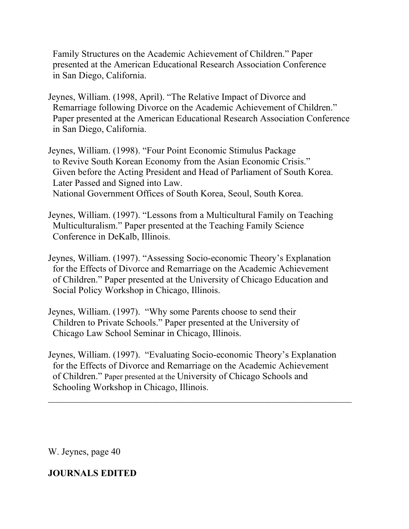Family Structures on the Academic Achievement of Children." Paper presented at the American Educational Research Association Conference in San Diego, California.

- Jeynes, William. (1998, April). "The Relative Impact of Divorce and Remarriage following Divorce on the Academic Achievement of Children." Paper presented at the American Educational Research Association Conference in San Diego, California.
- Jeynes, William. (1998). "Four Point Economic Stimulus Package to Revive South Korean Economy from the Asian Economic Crisis." Given before the Acting President and Head of Parliament of South Korea. Later Passed and Signed into Law. National Government Offices of South Korea, Seoul, South Korea.
- Jeynes, William. (1997). "Lessons from a Multicultural Family on Teaching Multiculturalism." Paper presented at the Teaching Family Science Conference in DeKalb, Illinois.
- Jeynes, William. (1997). "Assessing Socio-economic Theory's Explanation for the Effects of Divorce and Remarriage on the Academic Achievement of Children." Paper presented at the University of Chicago Education and Social Policy Workshop in Chicago, Illinois.
- Jeynes, William. (1997). "Why some Parents choose to send their Children to Private Schools." Paper presented at the University of Chicago Law School Seminar in Chicago, Illinois.
- Jeynes, William. (1997). "Evaluating Socio-economic Theory's Explanation for the Effects of Divorce and Remarriage on the Academic Achievement of Children." Paper presented at the University of Chicago Schools and Schooling Workshop in Chicago, Illinois.

 $\mathcal{L}_\text{max}$  , and the contract of the contract of the contract of the contract of the contract of the contract of the contract of the contract of the contract of the contract of the contract of the contract of the contr

W. Jeynes, page 40

# **JOURNALS EDITED**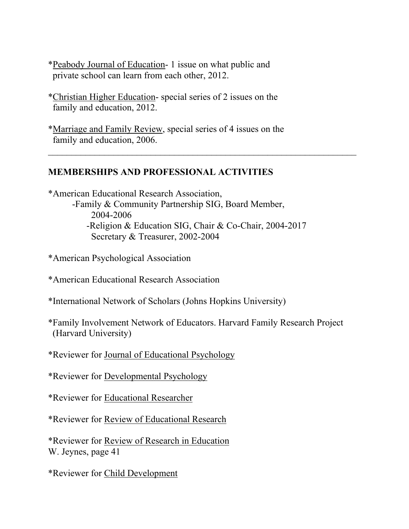- \*Peabody Journal of Education- 1 issue on what public and private school can learn from each other, 2012.
- \*Christian Higher Education- special series of 2 issues on the family and education, 2012.
- \*Marriage and Family Review, special series of 4 issues on the family and education, 2006.

## **MEMBERSHIPS AND PROFESSIONAL ACTIVITIES**

\*American Educational Research Association, -Family & Community Partnership SIG, Board Member, 2004-2006 -Religion & Education SIG, Chair & Co-Chair, 2004-2017 Secretary & Treasurer, 2002-2004

 $\_$  , and the contribution of the contribution of  $\mathcal{L}_1$  , and  $\mathcal{L}_2$  , and  $\mathcal{L}_3$  , and  $\mathcal{L}_4$  , and  $\mathcal{L}_5$ 

\*American Psychological Association

- \*American Educational Research Association
- \*International Network of Scholars (Johns Hopkins University)
- \*Family Involvement Network of Educators. Harvard Family Research Project (Harvard University)
- \*Reviewer for Journal of Educational Psychology

\*Reviewer for Developmental Psychology

\*Reviewer for Educational Researcher

\*Reviewer for Review of Educational Research

\*Reviewer for Review of Research in Education W. Jeynes, page 41

\*Reviewer for Child Development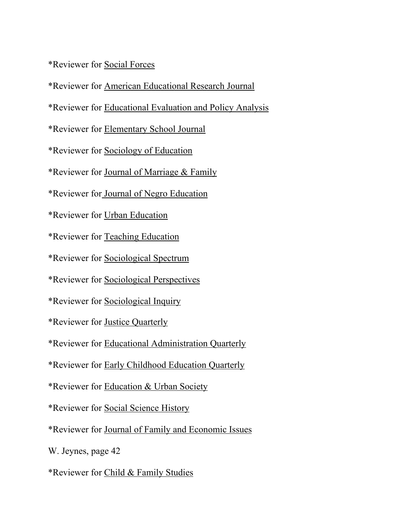\*Reviewer for Social Forces

\*Reviewer for American Educational Research Journal

\*Reviewer for Educational Evaluation and Policy Analysis

\*Reviewer for Elementary School Journal

\*Reviewer for Sociology of Education

\*Reviewer for Journal of Marriage & Family

\*Reviewer for Journal of Negro Education

\*Reviewer for Urban Education

\*Reviewer for Teaching Education

\*Reviewer for Sociological Spectrum

\*Reviewer for Sociological Perspectives

\*Reviewer for Sociological Inquiry

\*Reviewer for Justice Quarterly

\*Reviewer for Educational Administration Quarterly

\*Reviewer for Early Childhood Education Quarterly

\*Reviewer for Education & Urban Society

\*Reviewer for Social Science History

\*Reviewer for Journal of Family and Economic Issues

W. Jeynes, page 42

\*Reviewer for Child & Family Studies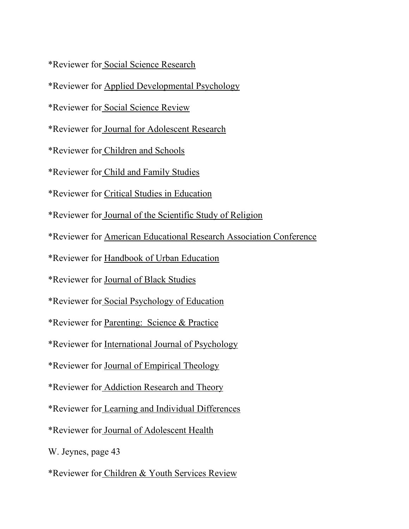\*Reviewer for Social Science Research

- \*Reviewer for Applied Developmental Psychology
- \*Reviewer for Social Science Review
- \*Reviewer for Journal for Adolescent Research
- \*Reviewer for Children and Schools
- \*Reviewer for Child and Family Studies
- \*Reviewer for Critical Studies in Education
- \*Reviewer for Journal of the Scientific Study of Religion
- \*Reviewer for American Educational Research Association Conference
- \*Reviewer for Handbook of Urban Education
- \*Reviewer for Journal of Black Studies
- \*Reviewer for Social Psychology of Education
- \*Reviewer for Parenting: Science & Practice
- \*Reviewer for International Journal of Psychology
- \*Reviewer for Journal of Empirical Theology
- \*Reviewer for Addiction Research and Theory
- \*Reviewer for Learning and Individual Differences
- \*Reviewer for Journal of Adolescent Health
- W. Jeynes, page 43
- \*Reviewer for Children & Youth Services Review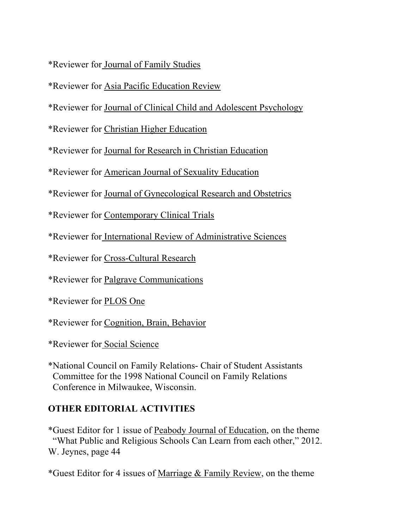\*Reviewer for Journal of Family Studies

\*Reviewer for Asia Pacific Education Review

\*Reviewer for Journal of Clinical Child and Adolescent Psychology

\*Reviewer for Christian Higher Education

\*Reviewer for Journal for Research in Christian Education

\*Reviewer for American Journal of Sexuality Education

\*Reviewer for Journal of Gynecological Research and Obstetrics

\*Reviewer for Contemporary Clinical Trials

\*Reviewer for International Review of Administrative Sciences

\*Reviewer for Cross-Cultural Research

\*Reviewer for Palgrave Communications

\*Reviewer for PLOS One

\*Reviewer for Cognition, Brain, Behavior

\*Reviewer for Social Science

\*National Council on Family Relations- Chair of Student Assistants Committee for the 1998 National Council on Family Relations Conference in Milwaukee, Wisconsin.

# **OTHER EDITORIAL ACTIVITIES**

\*Guest Editor for 1 issue of Peabody Journal of Education, on the theme "What Public and Religious Schools Can Learn from each other," 2012. W. Jeynes, page 44

\*Guest Editor for 4 issues of Marriage & Family Review, on the theme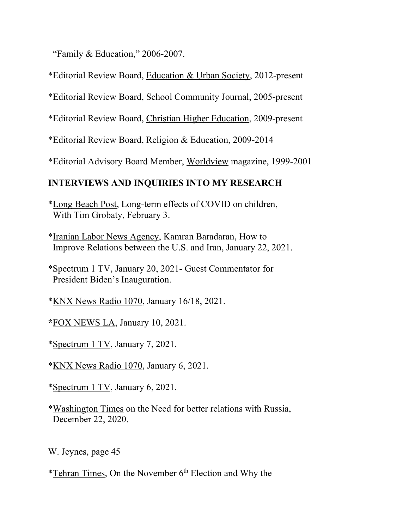"Family & Education," 2006-2007.

\*Editorial Review Board, Education & Urban Society, 2012-present

\*Editorial Review Board, School Community Journal, 2005-present

\*Editorial Review Board, Christian Higher Education, 2009-present

\*Editorial Review Board, Religion & Education, 2009-2014

\*Editorial Advisory Board Member, Worldview magazine, 1999-2001

# **INTERVIEWS AND INQUIRIES INTO MY RESEARCH**

\*Long Beach Post, Long-term effects of COVID on children, With Tim Grobaty, February 3.

\*Iranian Labor News Agency, Kamran Baradaran, How to Improve Relations between the U.S. and Iran, January 22, 2021.

\*Spectrum 1 TV, January 20, 2021- Guest Commentator for President Biden's Inauguration.

\*KNX News Radio 1070, January 16/18, 2021.

**\***FOX NEWS LA, January 10, 2021.

\*Spectrum 1 TV, January 7, 2021.

\*KNX News Radio 1070, January 6, 2021.

\*Spectrum 1 TV, January 6, 2021.

\*Washington Times on the Need for better relations with Russia, December 22, 2020.

W. Jeynes, page 45

\*Tehran Times, On the November 6th Election and Why the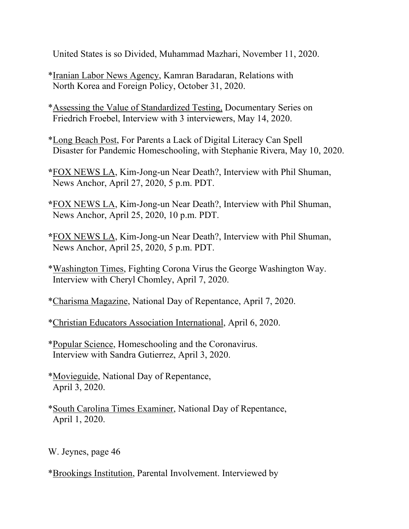United States is so Divided, Muhammad Mazhari, November 11, 2020.

- \*Iranian Labor News Agency, Kamran Baradaran, Relations with North Korea and Foreign Policy, October 31, 2020.
- \*Assessing the Value of Standardized Testing, Documentary Series on Friedrich Froebel, Interview with 3 interviewers, May 14, 2020.
- \*Long Beach Post, For Parents a Lack of Digital Literacy Can Spell Disaster for Pandemic Homeschooling, with Stephanie Rivera, May 10, 2020.
- **\***FOX NEWS LA, Kim-Jong-un Near Death?, Interview with Phil Shuman, News Anchor, April 27, 2020, 5 p.m. PDT.
- **\***FOX NEWS LA, Kim-Jong-un Near Death?, Interview with Phil Shuman, News Anchor, April 25, 2020, 10 p.m. PDT.
- **\***FOX NEWS LA, Kim-Jong-un Near Death?, Interview with Phil Shuman, News Anchor, April 25, 2020, 5 p.m. PDT.
- \*Washington Times, Fighting Corona Virus the George Washington Way. Interview with Cheryl Chomley, April 7, 2020.
- \*Charisma Magazine, National Day of Repentance, April 7, 2020.

\*Christian Educators Association International, April 6, 2020.

- \*Popular Science, Homeschooling and the Coronavirus. Interview with Sandra Gutierrez, April 3, 2020.
- \*Movieguide, National Day of Repentance, April 3, 2020.
- \*South Carolina Times Examiner, National Day of Repentance, April 1, 2020.

W. Jeynes, page 46

\*Brookings Institution, Parental Involvement. Interviewed by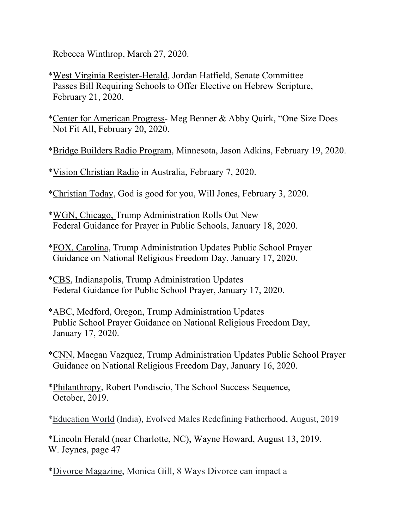Rebecca Winthrop, March 27, 2020.

- \*West Virginia Register-Herald, Jordan Hatfield, Senate Committee Passes Bill Requiring Schools to Offer Elective on Hebrew Scripture, February 21, 2020.
- \*Center for American Progress- Meg Benner & Abby Quirk, "One Size Does Not Fit All, February 20, 2020.
- \*Bridge Builders Radio Program, Minnesota, Jason Adkins, February 19, 2020.
- \*Vision Christian Radio in Australia, February 7, 2020.
- \*Christian Today, God is good for you, Will Jones, February 3, 2020.
- \*WGN, Chicago, Trump Administration Rolls Out New Federal Guidance for Prayer in Public Schools, January 18, 2020.
- \*FOX, Carolina, Trump Administration Updates Public School Prayer Guidance on National Religious Freedom Day, January 17, 2020.
- \*CBS, Indianapolis, Trump Administration Updates Federal Guidance for Public School Prayer, January 17, 2020.
- \*ABC, Medford, Oregon, Trump Administration Updates Public School Prayer Guidance on National Religious Freedom Day, January 17, 2020.
- \*CNN, Maegan Vazquez, Trump Administration Updates Public School Prayer Guidance on National Religious Freedom Day, January 16, 2020.
- \*Philanthropy, Robert Pondiscio, The School Success Sequence, October, 2019.
- \*Education World (India), Evolved Males Redefining Fatherhood, August, 2019

\*Lincoln Herald (near Charlotte, NC), Wayne Howard, August 13, 2019. W. Jeynes, page 47

\*Divorce Magazine, Monica Gill, 8 Ways Divorce can impact a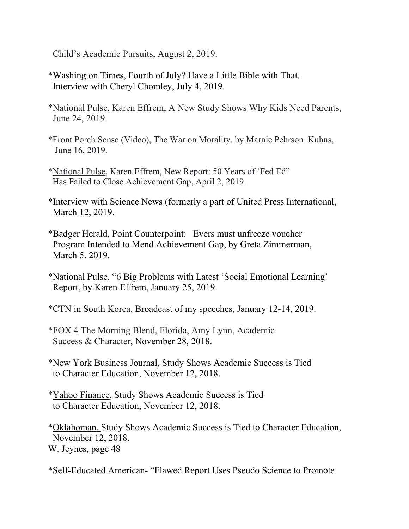Child's Academic Pursuits, August 2, 2019.

- \*Washington Times, Fourth of July? Have a Little Bible with That. Interview with Cheryl Chomley, July 4, 2019.
- \*National Pulse, Karen Effrem, A New Study Shows Why Kids Need Parents, June 24, 2019.
- \*Front Porch Sense (Video), The War on Morality. by Marnie Pehrson Kuhns, June 16, 2019.
- \*National Pulse, Karen Effrem, New Report: 50 Years of 'Fed Ed" Has Failed to Close Achievement Gap, April 2, 2019.
- \*Interview with Science News (formerly a part of United Press International, March 12, 2019.
- \*Badger Herald, Point Counterpoint: Evers must unfreeze voucher Program Intended to Mend Achievement Gap, by Greta Zimmerman, March 5, 2019.
- \*National Pulse, "6 Big Problems with Latest 'Social Emotional Learning' Report, by Karen Effrem, January 25, 2019.
- \*CTN in South Korea, Broadcast of my speeches, January 12-14, 2019.
- \*FOX 4 The Morning Blend, Florida, Amy Lynn, Academic Success & Character, November 28, 2018.
- \*New York Business Journal, Study Shows Academic Success is Tied to Character Education, November 12, 2018.
- \*Yahoo Finance, Study Shows Academic Success is Tied to Character Education, November 12, 2018.

\*Oklahoman, Study Shows Academic Success is Tied to Character Education, November 12, 2018. W. Jeynes, page 48

\*Self-Educated American- "Flawed Report Uses Pseudo Science to Promote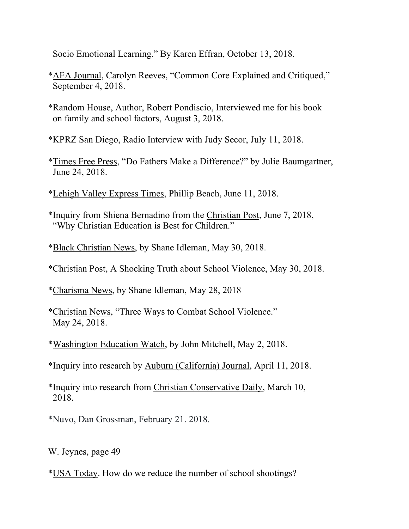Socio Emotional Learning." By Karen Effran, October 13, 2018.

- \*AFA Journal, Carolyn Reeves, "Common Core Explained and Critiqued," September 4, 2018.
- \*Random House, Author, Robert Pondiscio, Interviewed me for his book on family and school factors, August 3, 2018.

\*KPRZ San Diego, Radio Interview with Judy Secor, July 11, 2018.

- \*Times Free Press, "Do Fathers Make a Difference?" by Julie Baumgartner, June 24, 2018.
- \*Lehigh Valley Express Times, Phillip Beach, June 11, 2018.
- \*Inquiry from Shiena Bernadino from the Christian Post, June 7, 2018, "Why Christian Education is Best for Children."
- \*Black Christian News, by Shane Idleman, May 30, 2018.
- \*Christian Post, A Shocking Truth about School Violence, May 30, 2018.

\*Charisma News, by Shane Idleman, May 28, 2018

\*Christian News, "Three Ways to Combat School Violence." May 24, 2018.

\*Washington Education Watch, by John Mitchell, May 2, 2018.

\*Inquiry into research by Auburn (California) Journal, April 11, 2018.

\*Inquiry into research from Christian Conservative Daily, March 10, 2018.

\*Nuvo, Dan Grossman, February 21. 2018.

W. Jeynes, page 49

\*USA Today. How do we reduce the number of school shootings?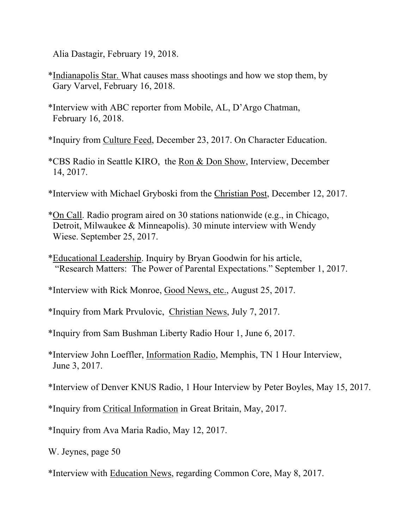Alia Dastagir, February 19, 2018.

- \*Indianapolis Star. What causes mass shootings and how we stop them, by Gary Varvel, February 16, 2018.
- \*Interview with ABC reporter from Mobile, AL, D'Argo Chatman, February 16, 2018.

\*Inquiry from Culture Feed, December 23, 2017. On Character Education.

- \*CBS Radio in Seattle KIRO, the Ron & Don Show, Interview, December 14, 2017.
- \*Interview with Michael Gryboski from the Christian Post, December 12, 2017.
- \*On Call. Radio program aired on 30 stations nationwide (e.g., in Chicago, Detroit, Milwaukee & Minneapolis). 30 minute interview with Wendy Wiese. September 25, 2017.
- \*Educational Leadership. Inquiry by Bryan Goodwin for his article, "Research Matters: The Power of Parental Expectations." September 1, 2017.

\*Interview with Rick Monroe, Good News, etc., August 25, 2017.

\*Inquiry from Mark Prvulovic, Christian News, July 7, 2017.

\*Inquiry from Sam Bushman Liberty Radio Hour 1, June 6, 2017.

\*Interview John Loeffler, Information Radio, Memphis, TN 1 Hour Interview, June 3, 2017.

\*Interview of Denver KNUS Radio, 1 Hour Interview by Peter Boyles, May 15, 2017.

\*Inquiry from Critical Information in Great Britain, May, 2017.

\*Inquiry from Ava Maria Radio, May 12, 2017.

W. Jeynes, page 50

\*Interview with Education News, regarding Common Core, May 8, 2017.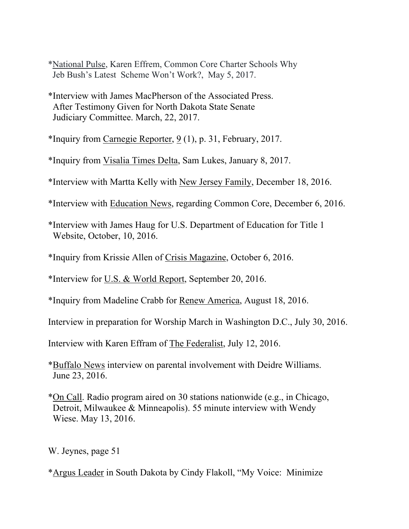\*National Pulse, Karen Effrem, Common Core Charter Schools Why Jeb Bush's Latest Scheme Won't Work?, May 5, 2017.

\*Interview with James MacPherson of the Associated Press. After Testimony Given for North Dakota State Senate Judiciary Committee. March, 22, 2017.

\*Inquiry from Carnegie Reporter,  $9(1)$ , p. 31, February, 2017.

\*Inquiry from Visalia Times Delta, Sam Lukes, January 8, 2017.

\*Interview with Martta Kelly with New Jersey Family, December 18, 2016.

\*Interview with Education News, regarding Common Core, December 6, 2016.

\*Interview with James Haug for U.S. Department of Education for Title 1 Website, October, 10, 2016.

\*Inquiry from Krissie Allen of Crisis Magazine, October 6, 2016.

\*Interview for U.S. & World Report, September 20, 2016.

\*Inquiry from Madeline Crabb for Renew America, August 18, 2016.

Interview in preparation for Worship March in Washington D.C., July 30, 2016.

Interview with Karen Effram of The Federalist, July 12, 2016.

\*Buffalo News interview on parental involvement with Deidre Williams. June 23, 2016.

\*On Call. Radio program aired on 30 stations nationwide (e.g., in Chicago, Detroit, Milwaukee & Minneapolis). 55 minute interview with Wendy Wiese. May 13, 2016.

W. Jeynes, page 51

\*Argus Leader in South Dakota by Cindy Flakoll, "My Voice: Minimize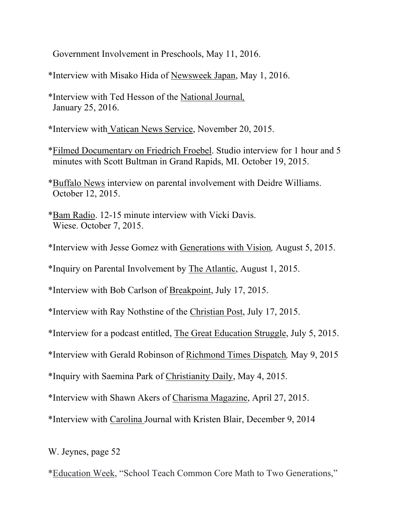Government Involvement in Preschools, May 11, 2016.

\*Interview with Misako Hida of Newsweek Japan, May 1, 2016.

\*Interview with Ted Hesson of the National Journal*,*  January 25, 2016.

**\***Interview with Vatican News Service, November 20, 2015.

\*Filmed Documentary on Friedrich Froebel. Studio interview for 1 hour and 5 minutes with Scott Bultman in Grand Rapids, MI. October 19, 2015.

\*Buffalo News interview on parental involvement with Deidre Williams. October 12, 2015.

\*Bam Radio. 12-15 minute interview with Vicki Davis. Wiese. October 7, 2015.

\*Interview with Jesse Gomez with Generations with Vision*,* August 5, 2015.

\*Inquiry on Parental Involvement by The Atlantic, August 1, 2015.

\*Interview with Bob Carlson of Breakpoint, July 17, 2015.

\*Interview with Ray Nothstine of the Christian Post, July 17, 2015.

\*Interview for a podcast entitled, The Great Education Struggle, July 5, 2015.

\*Interview with Gerald Robinson of Richmond Times Dispatch*,* May 9, 2015

\*Inquiry with Saemina Park of Christianity Daily, May 4, 2015.

\*Interview with Shawn Akers of Charisma Magazine, April 27, 2015.

\*Interview with Carolina Journal with Kristen Blair, December 9, 2014

W. Jeynes, page 52

\*Education Week, "School Teach Common Core Math to Two Generations,"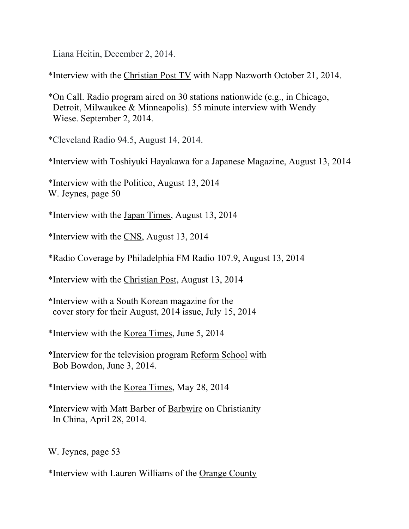Liana Heitin, December 2, 2014.

\*Interview with the Christian Post TV with Napp Nazworth October 21, 2014.

\*On Call. Radio program aired on 30 stations nationwide (e.g., in Chicago, Detroit, Milwaukee & Minneapolis). 55 minute interview with Wendy Wiese. September 2, 2014.

\*Cleveland Radio 94.5, August 14, 2014.

\*Interview with Toshiyuki Hayakawa for a Japanese Magazine, August 13, 2014

\*Interview with the Politico, August 13, 2014 W. Jeynes, page 50

\*Interview with the Japan Times, August 13, 2014

\*Interview with the CNS, August 13, 2014

\*Radio Coverage by Philadelphia FM Radio 107.9, August 13, 2014

\*Interview with the Christian Post, August 13, 2014

**\***Interview with a South Korean magazine for the cover story for their August, 2014 issue, July 15, 2014

\*Interview with the Korea Times, June 5, 2014

\*Interview for the television program Reform School with Bob Bowdon, June 3, 2014.

\*Interview with the Korea Times, May 28, 2014

\*Interview with Matt Barber of Barbwire on Christianity In China, April 28, 2014.

W. Jeynes, page 53

\*Interview with Lauren Williams of the Orange County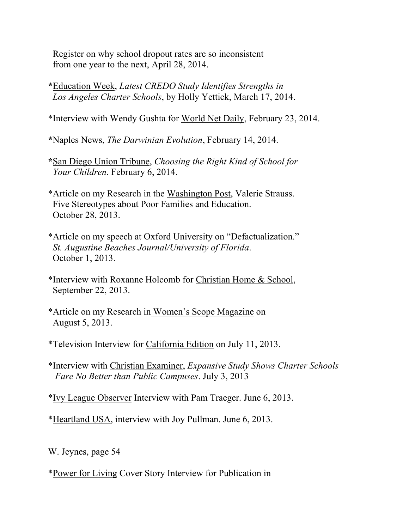Register on why school dropout rates are so inconsistent from one year to the next, April 28, 2014.

**\***Education Week, *Latest CREDO Study Identifies Strengths in Los Angeles Charter Schools*, by Holly Yettick, March 17, 2014.

\*Interview with Wendy Gushta for World Net Daily, February 23, 2014.

**\***Naples News, *The Darwinian Evolution*, February 14, 2014.

- **\***San Diego Union Tribune, *Choosing the Right Kind of School for Your Children*. February 6, 2014.
- \*Article on my Research in the Washington Post, Valerie Strauss. Five Stereotypes about Poor Families and Education. October 28, 2013.
- \*Article on my speech at Oxford University on "Defactualization." *St. Augustine Beaches Journal/University of Florida*. October 1, 2013.
- \*Interview with Roxanne Holcomb for Christian Home & School, September 22, 2013.
- \*Article on my Research in Women's Scope Magazine on August 5, 2013.

\*Television Interview for California Edition on July 11, 2013.

\*Interview with Christian Examiner, *Expansive Study Shows Charter Schools Fare No Better than Public Campuses*. July 3, 2013

\*Ivy League Observer Interview with Pam Traeger. June 6, 2013.

\*Heartland USA, interview with Joy Pullman. June 6, 2013.

W. Jeynes, page 54

\*Power for Living Cover Story Interview for Publication in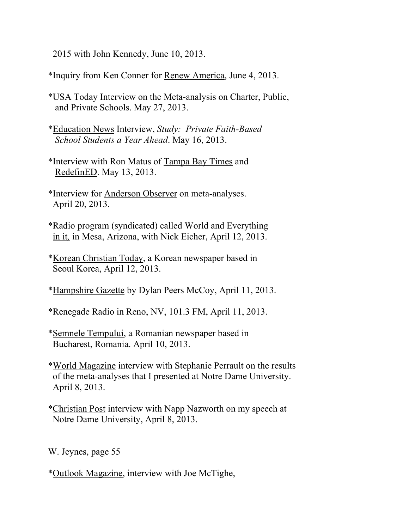2015 with John Kennedy, June 10, 2013.

\*Inquiry from Ken Conner for Renew America, June 4, 2013.

- \*USA Today Interview on the Meta-analysis on Charter, Public, and Private Schools. May 27, 2013.
- \*Education News Interview, *Study: Private Faith-Based School Students a Year Ahead*. May 16, 2013.
- \*Interview with Ron Matus of Tampa Bay Times and RedefinED. May 13, 2013.
- \*Interview for Anderson Observer on meta-analyses. April 20, 2013.
- \*Radio program (syndicated) called World and Everything in it*,* in Mesa, Arizona, with Nick Eicher, April 12, 2013.
- \*Korean Christian Today, a Korean newspaper based in Seoul Korea, April 12, 2013.
- \*Hampshire Gazette by Dylan Peers McCoy, April 11, 2013.
- \*Renegade Radio in Reno, NV, 101.3 FM, April 11, 2013.
- \*Semnele Tempului, a Romanian newspaper based in Bucharest, Romania. April 10, 2013.
- \*World Magazine interview with Stephanie Perrault on the results of the meta-analyses that I presented at Notre Dame University. April 8, 2013.
- \*Christian Post interview with Napp Nazworth on my speech at Notre Dame University, April 8, 2013.

W. Jeynes, page 55

\*Outlook Magazine, interview with Joe McTighe,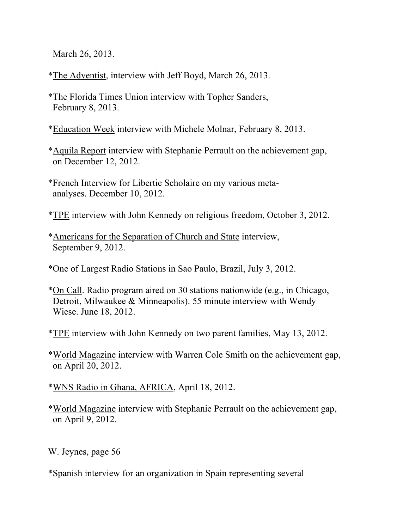March 26, 2013.

\*The Adventist, interview with Jeff Boyd, March 26, 2013.

\*The Florida Times Union interview with Topher Sanders, February 8, 2013.

\*Education Week interview with Michele Molnar, February 8, 2013.

- \*Aquila Report interview with Stephanie Perrault on the achievement gap, on December 12, 2012.
- \*French Interview for Libertie Scholaire on my various meta analyses. December 10, 2012.
- \*TPE interview with John Kennedy on religious freedom, October 3, 2012.
- \*Americans for the Separation of Church and State interview, September 9, 2012.
- \*One of Largest Radio Stations in Sao Paulo, Brazil, July 3, 2012.
- \*On Call. Radio program aired on 30 stations nationwide (e.g., in Chicago, Detroit, Milwaukee & Minneapolis). 55 minute interview with Wendy Wiese. June 18, 2012.
- \*TPE interview with John Kennedy on two parent families, May 13, 2012.
- \*World Magazine interview with Warren Cole Smith on the achievement gap, on April 20, 2012.

\*WNS Radio in Ghana, AFRICA, April 18, 2012.

\*World Magazine interview with Stephanie Perrault on the achievement gap, on April 9, 2012.

W. Jeynes, page 56

\*Spanish interview for an organization in Spain representing several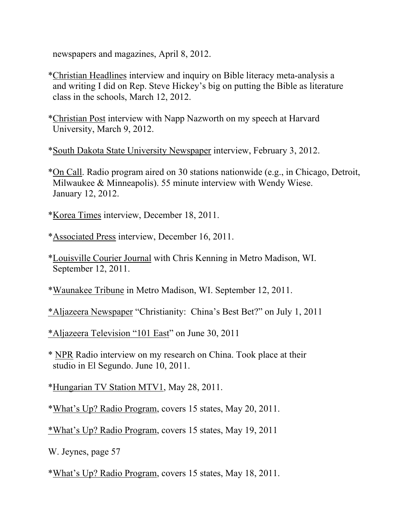newspapers and magazines, April 8, 2012.

- \*Christian Headlines interview and inquiry on Bible literacy meta-analysis a and writing I did on Rep. Steve Hickey's big on putting the Bible as literature class in the schools, March 12, 2012.
- \*Christian Post interview with Napp Nazworth on my speech at Harvard University, March 9, 2012.

\*South Dakota State University Newspaper interview, February 3, 2012.

\*On Call. Radio program aired on 30 stations nationwide (e.g., in Chicago, Detroit, Milwaukee & Minneapolis). 55 minute interview with Wendy Wiese. January 12, 2012.

\*Korea Times interview, December 18, 2011.

\*Associated Press interview, December 16, 2011.

\*Louisville Courier Journal with Chris Kenning in Metro Madison, WI. September 12, 2011.

\*Waunakee Tribune in Metro Madison, WI. September 12, 2011.

\*Aljazeera Newspaper "Christianity: China's Best Bet?" on July 1, 2011

\*Aljazeera Television "101 East" on June 30, 2011

\* NPR Radio interview on my research on China. Took place at their studio in El Segundo. June 10, 2011.

\*Hungarian TV Station MTV1, May 28, 2011.

\*What's Up? Radio Program, covers 15 states, May 20, 2011.

\*What's Up? Radio Program, covers 15 states, May 19, 2011

W. Jeynes, page 57

\*What's Up? Radio Program, covers 15 states, May 18, 2011.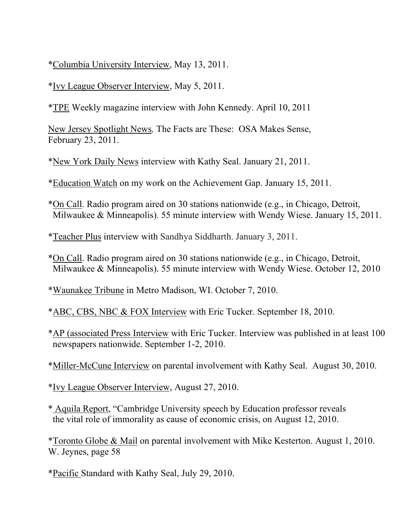\*Columbia University Interview, May 13, 2011.

\*Ivy League Observer Interview, May 5, 2011.

\*TPE Weekly magazine interview with John Kennedy. April 10, 2011

New Jersey Spotlight News*,* The Facts are These: OSA Makes Sense, February 23, 2011.

\*New York Daily News interview with Kathy Seal. January 21, 2011.

\*Education Watch on my work on the Achievement Gap. January 15, 2011.

\*On Call. Radio program aired on 30 stations nationwide (e.g., in Chicago, Detroit, Milwaukee & Minneapolis). 55 minute interview with Wendy Wiese. January 15, 2011.

\*Teacher Plus interview with Sandhya Siddharth. January 3, 2011.

\*On Call. Radio program aired on 30 stations nationwide (e.g., in Chicago, Detroit, Milwaukee & Minneapolis). 55 minute interview with Wendy Wiese. October 12, 2010

\*Waunakee Tribune in Metro Madison, WI. October 7, 2010.

\*ABC, CBS, NBC & FOX Interview with Eric Tucker. September 18, 2010.

\*AP (associated Press Interview with Eric Tucker. Interview was published in at least 100 newspapers nationwide. September 1-2, 2010.

\*Miller-McCune Interview on parental involvement with Kathy Seal. August 30, 2010.

\*Ivy League Observer Interview, August 27, 2010.

\* Aquila Report, "Cambridge University speech by Education professor reveals the vital role of immorality as cause of economic crisis, on August 12, 2010.

\*Toronto Globe & Mail on parental involvement with Mike Kesterton. August 1, 2010. W. Jeynes, page 58

\*Pacific Standard with Kathy Seal, July 29, 2010.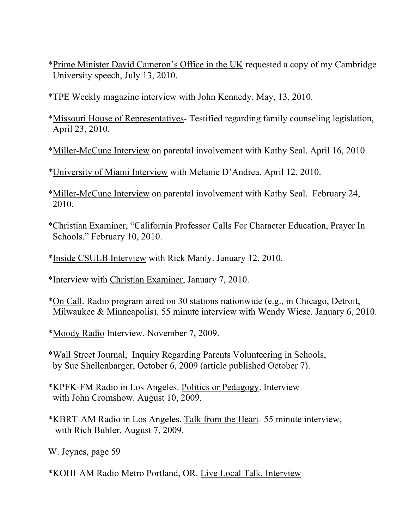- \*Prime Minister David Cameron's Office in the UK requested a copy of my Cambridge University speech, July 13, 2010.
- \*TPE Weekly magazine interview with John Kennedy. May, 13, 2010.
- \*Missouri House of Representatives- Testified regarding family counseling legislation, April 23, 2010.
- \*Miller-McCune Interview on parental involvement with Kathy Seal. April 16, 2010.
- \*University of Miami Interview with Melanie D'Andrea. April 12, 2010.
- \*Miller-McCune Interview on parental involvement with Kathy Seal. February 24, 2010.
- \*Christian Examiner, "California Professor Calls For Character Education, Prayer In Schools." February 10, 2010.
- \*Inside CSULB Interview with Rick Manly. January 12, 2010.
- \*Interview with Christian Examiner, January 7, 2010.
- \*On Call. Radio program aired on 30 stations nationwide (e.g., in Chicago, Detroit, Milwaukee & Minneapolis). 55 minute interview with Wendy Wiese. January 6, 2010.
- \*Moody Radio Interview. November 7, 2009.
- \*Wall Street Journal, Inquiry Regarding Parents Volunteering in Schools, by Sue Shellenbarger, October 6, 2009 (article published October 7).
- \*KPFK-FM Radio in Los Angeles. Politics or Pedagogy. Interview with John Cromshow. August 10, 2009.
- \*KBRT-AM Radio in Los Angeles. Talk from the Heart- 55 minute interview, with Rich Buhler. August 7, 2009.

\*KOHI-AM Radio Metro Portland, OR. Live Local Talk. Interview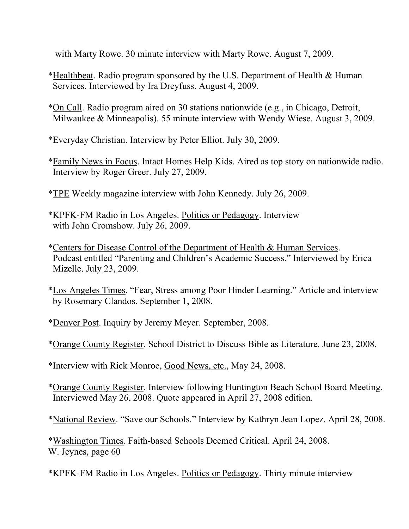with Marty Rowe. 30 minute interview with Marty Rowe. August 7, 2009.

- \*Healthbeat. Radio program sponsored by the U.S. Department of Health & Human Services. Interviewed by Ira Dreyfuss. August 4, 2009.
- \*On Call. Radio program aired on 30 stations nationwide (e.g., in Chicago, Detroit, Milwaukee & Minneapolis). 55 minute interview with Wendy Wiese. August 3, 2009.
- \*Everyday Christian. Interview by Peter Elliot. July 30, 2009.
- \*Family News in Focus. Intact Homes Help Kids. Aired as top story on nationwide radio. Interview by Roger Greer. July 27, 2009.
- \*TPE Weekly magazine interview with John Kennedy. July 26, 2009.
- \*KPFK-FM Radio in Los Angeles. Politics or Pedagogy. Interview with John Cromshow. July 26, 2009.
- \*Centers for Disease Control of the Department of Health & Human Services. Podcast entitled "Parenting and Children's Academic Success." Interviewed by Erica Mizelle. July 23, 2009.
- \*Los Angeles Times. "Fear, Stress among Poor Hinder Learning." Article and interview by Rosemary Clandos. September 1, 2008.
- \*Denver Post. Inquiry by Jeremy Meyer. September, 2008.
- \*Orange County Register. School District to Discuss Bible as Literature. June 23, 2008.
- \*Interview with Rick Monroe, Good News, etc., May 24, 2008.
- \*Orange County Register. Interview following Huntington Beach School Board Meeting. Interviewed May 26, 2008. Quote appeared in April 27, 2008 edition.
- \*National Review. "Save our Schools." Interview by Kathryn Jean Lopez. April 28, 2008.

\*Washington Times. Faith-based Schools Deemed Critical. April 24, 2008. W. Jeynes, page  $60$ 

\*KPFK-FM Radio in Los Angeles. Politics or Pedagogy. Thirty minute interview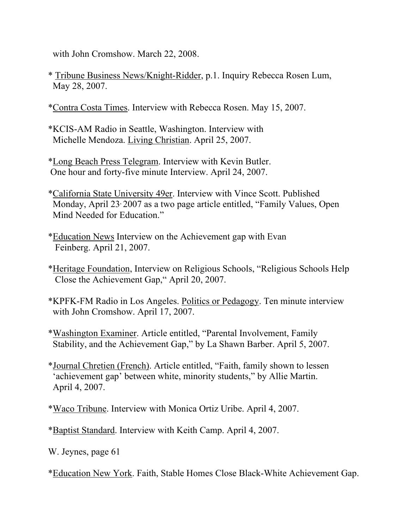with John Cromshow. March 22, 2008.

- \* Tribune Business News/Knight-Ridder, p.1. Inquiry Rebecca Rosen Lum, May 28, 2007.
- \*Contra Costa Times. Interview with Rebecca Rosen. May 15, 2007.
- \*KCIS-AM Radio in Seattle, Washington. Interview with Michelle Mendoza. Living Christian. April 25, 2007.
- \*Long Beach Press Telegram. Interview with Kevin Butler. One hour and forty-five minute Interview. April 24, 2007.
- \*California State University 49er. Interview with Vince Scott. Published Monday, April 23, 2007 as a two page article entitled, "Family Values, Open Mind Needed for Education."
- \*Education News Interview on the Achievement gap with Evan Feinberg. April 21, 2007.
- \*Heritage Foundation, Interview on Religious Schools, "Religious Schools Help Close the Achievement Gap," April 20, 2007.
- \*KPFK-FM Radio in Los Angeles. Politics or Pedagogy. Ten minute interview with John Cromshow. April 17, 2007.
- \*Washington Examiner. Article entitled, "Parental Involvement, Family Stability, and the Achievement Gap," by La Shawn Barber. April 5, 2007.
- \*Journal Chretien (French). Article entitled, "Faith, family shown to lessen 'achievement gap' between white, minority students," by Allie Martin. April 4, 2007.
- \*Waco Tribune. Interview with Monica Ortiz Uribe. April 4, 2007.
- \*Baptist Standard. Interview with Keith Camp. April 4, 2007.
- W. Jeynes, page 61
- \*Education New York. Faith, Stable Homes Close Black-White Achievement Gap.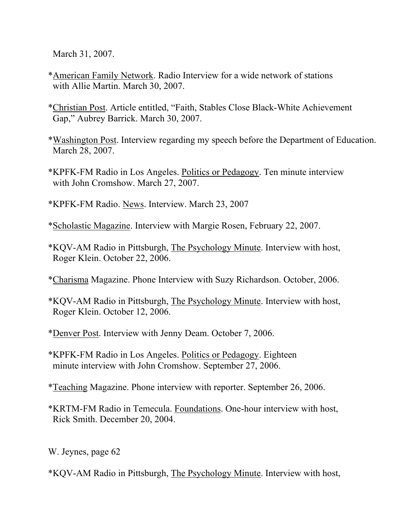March 31, 2007.

- \*American Family Network. Radio Interview for a wide network of stations with Allie Martin. March 30, 2007.
- \*Christian Post. Article entitled, "Faith, Stables Close Black-White Achievement Gap," Aubrey Barrick. March 30, 2007.
- \*Washington Post. Interview regarding my speech before the Department of Education. March 28, 2007.
- \*KPFK-FM Radio in Los Angeles. Politics or Pedagogy. Ten minute interview with John Cromshow. March 27, 2007.
- \*KPFK-FM Radio. News. Interview. March 23, 2007
- \*Scholastic Magazine. Interview with Margie Rosen, February 22, 2007.
- \*KQV-AM Radio in Pittsburgh, The Psychology Minute. Interview with host, Roger Klein. October 22, 2006.
- \*Charisma Magazine. Phone Interview with Suzy Richardson. October, 2006.
- \*KQV-AM Radio in Pittsburgh, The Psychology Minute. Interview with host, Roger Klein. October 12, 2006.
- \*Denver Post. Interview with Jenny Deam. October 7, 2006.
- \*KPFK-FM Radio in Los Angeles. Politics or Pedagogy. Eighteen minute interview with John Cromshow. September 27, 2006.
- \*Teaching Magazine. Phone interview with reporter. September 26, 2006.
- \*KRTM-FM Radio in Temecula. Foundations. One-hour interview with host, Rick Smith. December 20, 2004.
- W. Jeynes, page 62
- \*KQV-AM Radio in Pittsburgh, The Psychology Minute. Interview with host,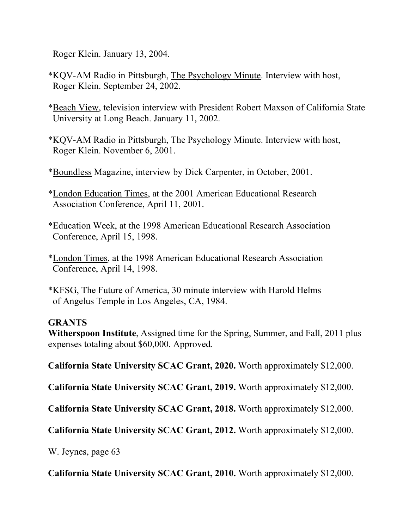Roger Klein. January 13, 2004.

- \*KQV-AM Radio in Pittsburgh, The Psychology Minute. Interview with host, Roger Klein. September 24, 2002.
- \*Beach View, television interview with President Robert Maxson of California State University at Long Beach. January 11, 2002.
- \*KQV-AM Radio in Pittsburgh, The Psychology Minute. Interview with host, Roger Klein. November 6, 2001.
- \*Boundless Magazine, interview by Dick Carpenter, in October, 2001.
- \*London Education Times, at the 2001 American Educational Research Association Conference, April 11, 2001.
- \*Education Week, at the 1998 American Educational Research Association Conference, April 15, 1998.
- \*London Times, at the 1998 American Educational Research Association Conference, April 14, 1998.
- \*KFSG, The Future of America, 30 minute interview with Harold Helms of Angelus Temple in Los Angeles, CA, 1984.

## **GRANTS**

- **Witherspoon Institute**, Assigned time for the Spring, Summer, and Fall, 2011 plus expenses totaling about \$60,000. Approved.
- **California State University SCAC Grant, 2020.** Worth approximately \$12,000.
- **California State University SCAC Grant, 2019.** Worth approximately \$12,000.
- **California State University SCAC Grant, 2018.** Worth approximately \$12,000.
- **California State University SCAC Grant, 2012.** Worth approximately \$12,000.
- W. Jeynes, page 63
- **California State University SCAC Grant, 2010.** Worth approximately \$12,000.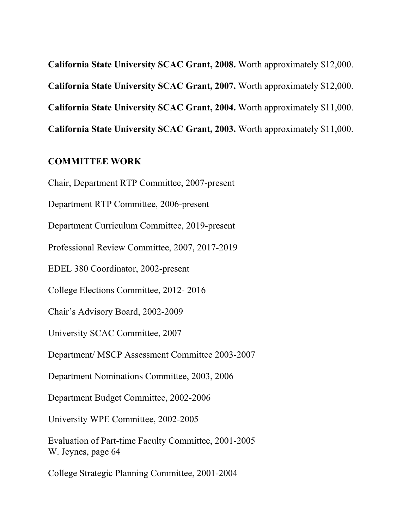**California State University SCAC Grant, 2008.** Worth approximately \$12,000. **California State University SCAC Grant, 2007.** Worth approximately \$12,000. **California State University SCAC Grant, 2004.** Worth approximately \$11,000. **California State University SCAC Grant, 2003.** Worth approximately \$11,000.

#### **COMMITTEE WORK**

Chair, Department RTP Committee, 2007-present

Department RTP Committee, 2006-present

Department Curriculum Committee, 2019-present

Professional Review Committee, 2007, 2017-2019

EDEL 380 Coordinator, 2002-present

College Elections Committee, 2012- 2016

Chair's Advisory Board, 2002-2009

University SCAC Committee, 2007

Department/ MSCP Assessment Committee 2003-2007

Department Nominations Committee, 2003, 2006

Department Budget Committee, 2002-2006

University WPE Committee, 2002-2005

Evaluation of Part-time Faculty Committee, 2001-2005 W. Jeynes, page 64

College Strategic Planning Committee, 2001-2004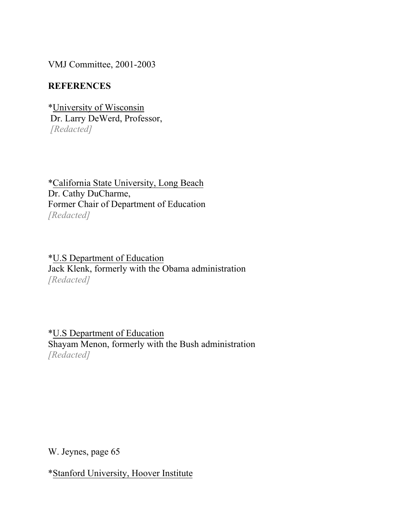VMJ Committee, 2001-2003

## **REFERENCES**

\*University of Wisconsin Dr. Larry DeWerd, Professor, *[Redacted]*

\*California State University, Long Beach Dr. Cathy DuCharme, Former Chair of Department of Education *[Redacted]*

\*U.S Department of Education Jack Klenk, formerly with the Obama administration *[Redacted]*

\*U.S Department of Education Shayam Menon, formerly with the Bush administration *[Redacted]*

W. Jeynes, page 65

\*Stanford University, Hoover Institute